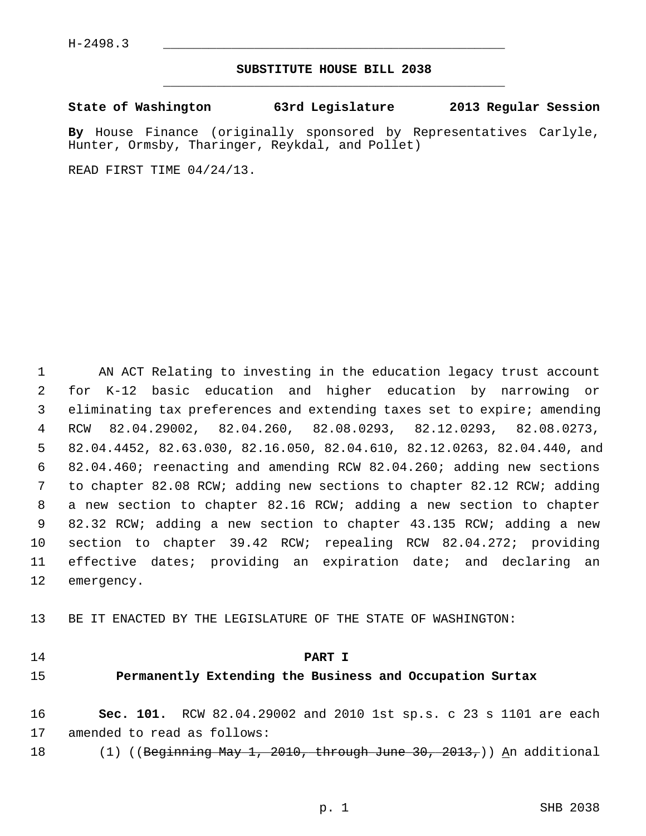## **SUBSTITUTE HOUSE BILL 2038** \_\_\_\_\_\_\_\_\_\_\_\_\_\_\_\_\_\_\_\_\_\_\_\_\_\_\_\_\_\_\_\_\_\_\_\_\_\_\_\_\_\_\_\_\_

## **State of Washington 63rd Legislature 2013 Regular Session**

**By** House Finance (originally sponsored by Representatives Carlyle, Hunter, Ormsby, Tharinger, Reykdal, and Pollet)

READ FIRST TIME 04/24/13.

 1 AN ACT Relating to investing in the education legacy trust account 2 for K-12 basic education and higher education by narrowing or 3 eliminating tax preferences and extending taxes set to expire; amending 4 RCW 82.04.29002, 82.04.260, 82.08.0293, 82.12.0293, 82.08.0273, 5 82.04.4452, 82.63.030, 82.16.050, 82.04.610, 82.12.0263, 82.04.440, and 6 82.04.460; reenacting and amending RCW 82.04.260; adding new sections 7 to chapter 82.08 RCW; adding new sections to chapter 82.12 RCW; adding 8 a new section to chapter 82.16 RCW; adding a new section to chapter 9 82.32 RCW; adding a new section to chapter 43.135 RCW; adding a new 10 section to chapter 39.42 RCW; repealing RCW 82.04.272; providing 11 effective dates; providing an expiration date; and declaring an 12 emergency.

13 BE IT ENACTED BY THE LEGISLATURE OF THE STATE OF WASHINGTON:

#### 14 **PART I**

## 15 **Permanently Extending the Business and Occupation Surtax**

16 **Sec. 101.** RCW 82.04.29002 and 2010 1st sp.s. c 23 s 1101 are each 17 amended to read as follows:

18 (1) ((Beginning May 1, 2010, through June 30, 2013,)) An additional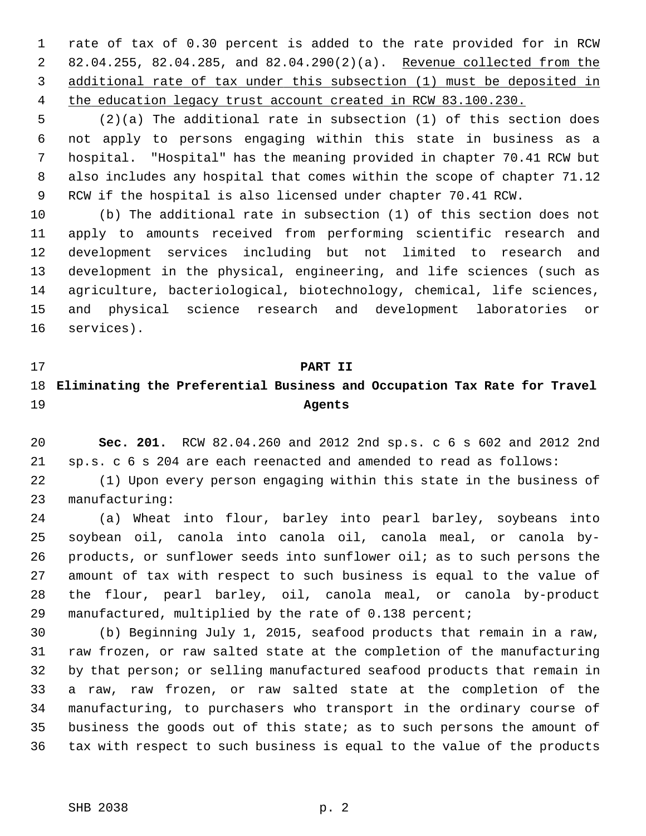1 rate of tax of 0.30 percent is added to the rate provided for in RCW 2 82.04.255, 82.04.285, and 82.04.290(2)(a). Revenue collected from the 3 additional rate of tax under this subsection (1) must be deposited in 4 the education legacy trust account created in RCW 83.100.230.

 5 (2)(a) The additional rate in subsection (1) of this section does 6 not apply to persons engaging within this state in business as a 7 hospital. "Hospital" has the meaning provided in chapter 70.41 RCW but 8 also includes any hospital that comes within the scope of chapter 71.12 9 RCW if the hospital is also licensed under chapter 70.41 RCW.

10 (b) The additional rate in subsection (1) of this section does not 11 apply to amounts received from performing scientific research and 12 development services including but not limited to research and 13 development in the physical, engineering, and life sciences (such as 14 agriculture, bacteriological, biotechnology, chemical, life sciences, 15 and physical science research and development laboratories or 16 services).

## 17 **PART II**

## 18 **Eliminating the Preferential Business and Occupation Tax Rate for Travel** 19 **Agents**

20 **Sec. 201.** RCW 82.04.260 and 2012 2nd sp.s. c 6 s 602 and 2012 2nd 21 sp.s. c 6 s 204 are each reenacted and amended to read as follows:

22 (1) Upon every person engaging within this state in the business of 23 manufacturing:

24 (a) Wheat into flour, barley into pearl barley, soybeans into 25 soybean oil, canola into canola oil, canola meal, or canola by-26 products, or sunflower seeds into sunflower oil; as to such persons the 27 amount of tax with respect to such business is equal to the value of 28 the flour, pearl barley, oil, canola meal, or canola by-product 29 manufactured, multiplied by the rate of 0.138 percent;

30 (b) Beginning July 1, 2015, seafood products that remain in a raw, 31 raw frozen, or raw salted state at the completion of the manufacturing 32 by that person; or selling manufactured seafood products that remain in 33 a raw, raw frozen, or raw salted state at the completion of the 34 manufacturing, to purchasers who transport in the ordinary course of 35 business the goods out of this state; as to such persons the amount of 36 tax with respect to such business is equal to the value of the products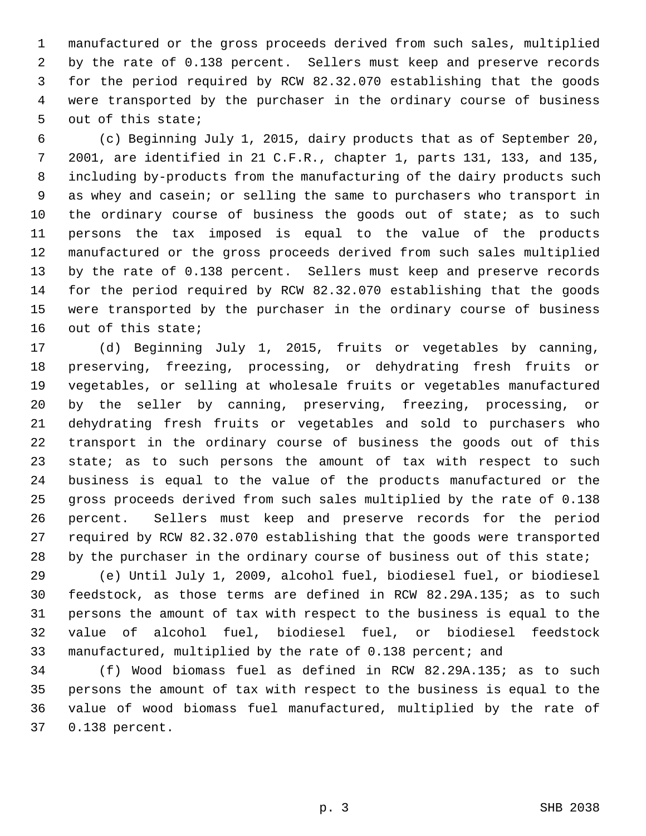1 manufactured or the gross proceeds derived from such sales, multiplied 2 by the rate of 0.138 percent. Sellers must keep and preserve records 3 for the period required by RCW 82.32.070 establishing that the goods 4 were transported by the purchaser in the ordinary course of business 5 out of this state;

 6 (c) Beginning July 1, 2015, dairy products that as of September 20, 7 2001, are identified in 21 C.F.R., chapter 1, parts 131, 133, and 135, 8 including by-products from the manufacturing of the dairy products such 9 as whey and casein; or selling the same to purchasers who transport in 10 the ordinary course of business the goods out of state; as to such 11 persons the tax imposed is equal to the value of the products 12 manufactured or the gross proceeds derived from such sales multiplied 13 by the rate of 0.138 percent. Sellers must keep and preserve records 14 for the period required by RCW 82.32.070 establishing that the goods 15 were transported by the purchaser in the ordinary course of business 16 out of this state;

17 (d) Beginning July 1, 2015, fruits or vegetables by canning, 18 preserving, freezing, processing, or dehydrating fresh fruits or 19 vegetables, or selling at wholesale fruits or vegetables manufactured 20 by the seller by canning, preserving, freezing, processing, or 21 dehydrating fresh fruits or vegetables and sold to purchasers who 22 transport in the ordinary course of business the goods out of this 23 state; as to such persons the amount of tax with respect to such 24 business is equal to the value of the products manufactured or the 25 gross proceeds derived from such sales multiplied by the rate of 0.138 26 percent. Sellers must keep and preserve records for the period 27 required by RCW 82.32.070 establishing that the goods were transported 28 by the purchaser in the ordinary course of business out of this state;

29 (e) Until July 1, 2009, alcohol fuel, biodiesel fuel, or biodiesel 30 feedstock, as those terms are defined in RCW 82.29A.135; as to such 31 persons the amount of tax with respect to the business is equal to the 32 value of alcohol fuel, biodiesel fuel, or biodiesel feedstock 33 manufactured, multiplied by the rate of 0.138 percent; and

34 (f) Wood biomass fuel as defined in RCW 82.29A.135; as to such 35 persons the amount of tax with respect to the business is equal to the 36 value of wood biomass fuel manufactured, multiplied by the rate of 37 0.138 percent.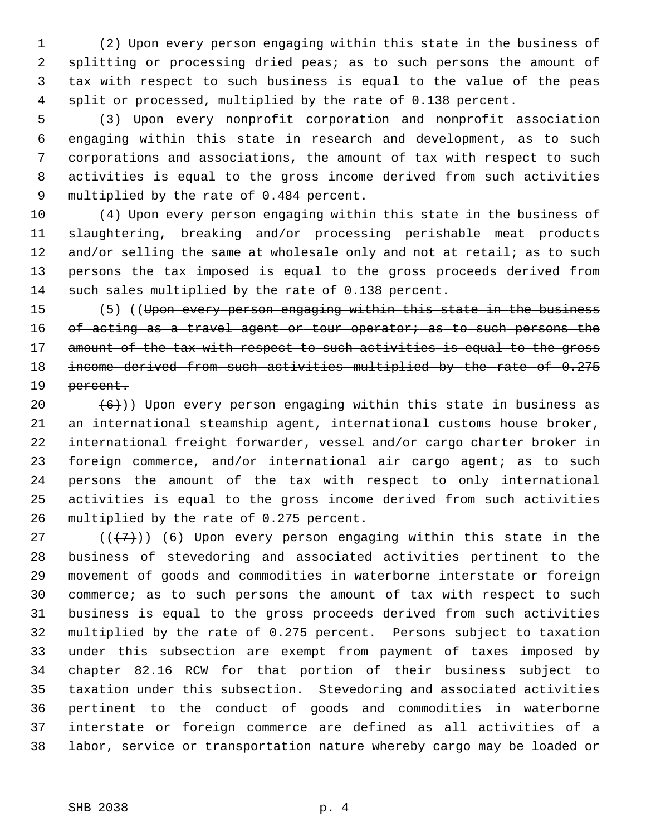1 (2) Upon every person engaging within this state in the business of 2 splitting or processing dried peas; as to such persons the amount of 3 tax with respect to such business is equal to the value of the peas 4 split or processed, multiplied by the rate of 0.138 percent.

 5 (3) Upon every nonprofit corporation and nonprofit association 6 engaging within this state in research and development, as to such 7 corporations and associations, the amount of tax with respect to such 8 activities is equal to the gross income derived from such activities 9 multiplied by the rate of 0.484 percent.

10 (4) Upon every person engaging within this state in the business of 11 slaughtering, breaking and/or processing perishable meat products 12 and/or selling the same at wholesale only and not at retail; as to such 13 persons the tax imposed is equal to the gross proceeds derived from 14 such sales multiplied by the rate of 0.138 percent.

15 (5) ((Upon every person engaging within this state in the business 16 of acting as a travel agent or tour operator; as to such persons the 17 amount of the tax with respect to such activities is equal to the gross 18 income derived from such activities multiplied by the rate of 0.275 19 <del>percent.</del>

20  $(6)$ )) Upon every person engaging within this state in business as 21 an international steamship agent, international customs house broker, 22 international freight forwarder, vessel and/or cargo charter broker in 23 foreign commerce, and/or international air cargo agent; as to such 24 persons the amount of the tax with respect to only international 25 activities is equal to the gross income derived from such activities 26 multiplied by the rate of 0.275 percent.

27 ( $(\overline{+7})$ ) (6) Upon every person engaging within this state in the 28 business of stevedoring and associated activities pertinent to the 29 movement of goods and commodities in waterborne interstate or foreign 30 commerce; as to such persons the amount of tax with respect to such 31 business is equal to the gross proceeds derived from such activities 32 multiplied by the rate of 0.275 percent. Persons subject to taxation 33 under this subsection are exempt from payment of taxes imposed by 34 chapter 82.16 RCW for that portion of their business subject to 35 taxation under this subsection. Stevedoring and associated activities 36 pertinent to the conduct of goods and commodities in waterborne 37 interstate or foreign commerce are defined as all activities of a 38 labor, service or transportation nature whereby cargo may be loaded or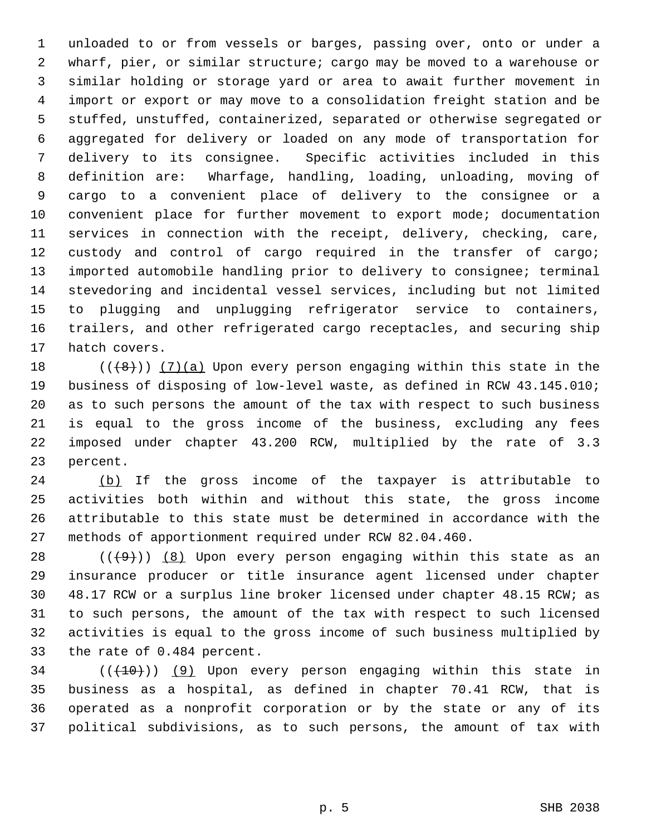1 unloaded to or from vessels or barges, passing over, onto or under a 2 wharf, pier, or similar structure; cargo may be moved to a warehouse or 3 similar holding or storage yard or area to await further movement in 4 import or export or may move to a consolidation freight station and be 5 stuffed, unstuffed, containerized, separated or otherwise segregated or 6 aggregated for delivery or loaded on any mode of transportation for 7 delivery to its consignee. Specific activities included in this 8 definition are: Wharfage, handling, loading, unloading, moving of 9 cargo to a convenient place of delivery to the consignee or a 10 convenient place for further movement to export mode; documentation 11 services in connection with the receipt, delivery, checking, care, 12 custody and control of cargo required in the transfer of cargo; 13 imported automobile handling prior to delivery to consignee; terminal 14 stevedoring and incidental vessel services, including but not limited 15 to plugging and unplugging refrigerator service to containers, 16 trailers, and other refrigerated cargo receptacles, and securing ship 17 hatch covers.

18  $((+8))$   $(7)(a)$  Upon every person engaging within this state in the 19 business of disposing of low-level waste, as defined in RCW 43.145.010; 20 as to such persons the amount of the tax with respect to such business 21 is equal to the gross income of the business, excluding any fees 22 imposed under chapter 43.200 RCW, multiplied by the rate of 3.3 23 percent.

24 (b) If the gross income of the taxpayer is attributable to 25 activities both within and without this state, the gross income 26 attributable to this state must be determined in accordance with the 27 methods of apportionment required under RCW 82.04.460.

28  $((+9))$   $(8)$  Upon every person engaging within this state as an 29 insurance producer or title insurance agent licensed under chapter 30 48.17 RCW or a surplus line broker licensed under chapter 48.15 RCW; as 31 to such persons, the amount of the tax with respect to such licensed 32 activities is equal to the gross income of such business multiplied by 33 the rate of 0.484 percent.

 $34$  ( $(\overline{+10})$ ) (9) Upon every person engaging within this state in 35 business as a hospital, as defined in chapter 70.41 RCW, that is 36 operated as a nonprofit corporation or by the state or any of its 37 political subdivisions, as to such persons, the amount of tax with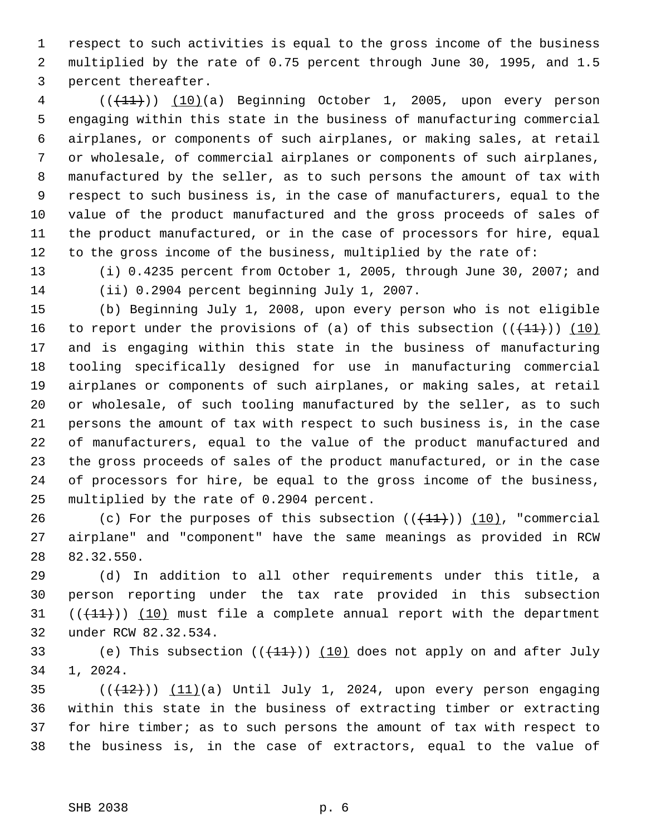1 respect to such activities is equal to the gross income of the business 2 multiplied by the rate of 0.75 percent through June 30, 1995, and 1.5 3 percent thereafter.

4 (( $(11)$ )) (10)(a) Beginning October 1, 2005, upon every person 5 engaging within this state in the business of manufacturing commercial 6 airplanes, or components of such airplanes, or making sales, at retail 7 or wholesale, of commercial airplanes or components of such airplanes, 8 manufactured by the seller, as to such persons the amount of tax with 9 respect to such business is, in the case of manufacturers, equal to the 10 value of the product manufactured and the gross proceeds of sales of 11 the product manufactured, or in the case of processors for hire, equal 12 to the gross income of the business, multiplied by the rate of:

13 (i) 0.4235 percent from October 1, 2005, through June 30, 2007; and 14 (ii) 0.2904 percent beginning July 1, 2007.

15 (b) Beginning July 1, 2008, upon every person who is not eligible 16 to report under the provisions of (a) of this subsection  $((+11))$  (10) 17 and is engaging within this state in the business of manufacturing 18 tooling specifically designed for use in manufacturing commercial 19 airplanes or components of such airplanes, or making sales, at retail 20 or wholesale, of such tooling manufactured by the seller, as to such 21 persons the amount of tax with respect to such business is, in the case 22 of manufacturers, equal to the value of the product manufactured and 23 the gross proceeds of sales of the product manufactured, or in the case 24 of processors for hire, be equal to the gross income of the business, 25 multiplied by the rate of 0.2904 percent.

26 (c) For the purposes of this subsection  $((+11))$  (10), "commercial 27 airplane" and "component" have the same meanings as provided in RCW 28 82.32.550.

29 (d) In addition to all other requirements under this title, a 30 person reporting under the tax rate provided in this subsection 31  $((+11))$  (10) must file a complete annual report with the department 32 under RCW 82.32.534.

33 (e) This subsection  $((+11))$  (10) does not apply on and after July 34 1, 2024.

 $(11)(a)$  Until July 1, 2024, upon every person engaging 36 within this state in the business of extracting timber or extracting 37 for hire timber; as to such persons the amount of tax with respect to 38 the business is, in the case of extractors, equal to the value of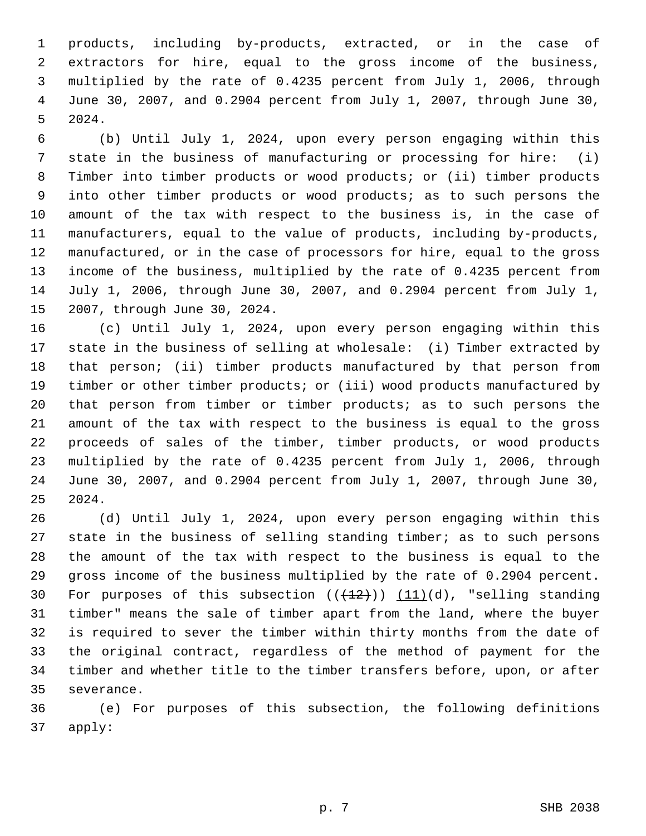1 products, including by-products, extracted, or in the case of 2 extractors for hire, equal to the gross income of the business, 3 multiplied by the rate of 0.4235 percent from July 1, 2006, through 4 June 30, 2007, and 0.2904 percent from July 1, 2007, through June 30, 5 2024.

 6 (b) Until July 1, 2024, upon every person engaging within this 7 state in the business of manufacturing or processing for hire: (i) 8 Timber into timber products or wood products; or (ii) timber products 9 into other timber products or wood products; as to such persons the 10 amount of the tax with respect to the business is, in the case of 11 manufacturers, equal to the value of products, including by-products, 12 manufactured, or in the case of processors for hire, equal to the gross 13 income of the business, multiplied by the rate of 0.4235 percent from 14 July 1, 2006, through June 30, 2007, and 0.2904 percent from July 1, 15 2007, through June 30, 2024.

16 (c) Until July 1, 2024, upon every person engaging within this 17 state in the business of selling at wholesale: (i) Timber extracted by 18 that person; (ii) timber products manufactured by that person from 19 timber or other timber products; or (iii) wood products manufactured by 20 that person from timber or timber products; as to such persons the 21 amount of the tax with respect to the business is equal to the gross 22 proceeds of sales of the timber, timber products, or wood products 23 multiplied by the rate of 0.4235 percent from July 1, 2006, through 24 June 30, 2007, and 0.2904 percent from July 1, 2007, through June 30, 25 2024.

26 (d) Until July 1, 2024, upon every person engaging within this 27 state in the business of selling standing timber; as to such persons 28 the amount of the tax with respect to the business is equal to the 29 gross income of the business multiplied by the rate of 0.2904 percent. 30 For purposes of this subsection  $((+12))$   $(11)(d)$ , "selling standing 31 timber" means the sale of timber apart from the land, where the buyer 32 is required to sever the timber within thirty months from the date of 33 the original contract, regardless of the method of payment for the 34 timber and whether title to the timber transfers before, upon, or after 35 severance.

36 (e) For purposes of this subsection, the following definitions 37 apply: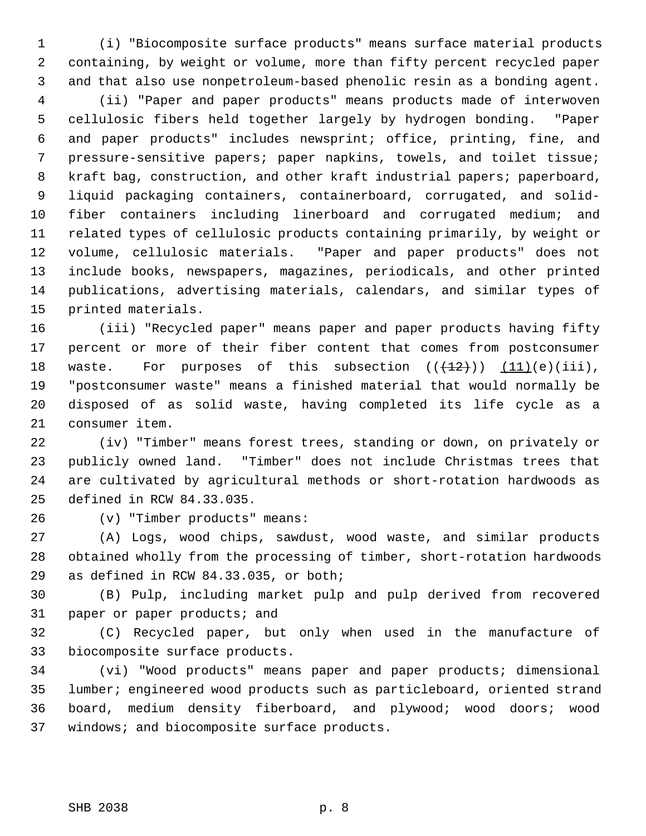1 (i) "Biocomposite surface products" means surface material products 2 containing, by weight or volume, more than fifty percent recycled paper 3 and that also use nonpetroleum-based phenolic resin as a bonding agent.

 4 (ii) "Paper and paper products" means products made of interwoven 5 cellulosic fibers held together largely by hydrogen bonding. "Paper 6 and paper products" includes newsprint; office, printing, fine, and 7 pressure-sensitive papers; paper napkins, towels, and toilet tissue; 8 kraft bag, construction, and other kraft industrial papers; paperboard, 9 liquid packaging containers, containerboard, corrugated, and solid-10 fiber containers including linerboard and corrugated medium; and 11 related types of cellulosic products containing primarily, by weight or 12 volume, cellulosic materials. "Paper and paper products" does not 13 include books, newspapers, magazines, periodicals, and other printed 14 publications, advertising materials, calendars, and similar types of 15 printed materials.

16 (iii) "Recycled paper" means paper and paper products having fifty 17 percent or more of their fiber content that comes from postconsumer 18 waste. For purposes of this subsection  $((+12))$   $(11)(e)(iii)$ , 19 "postconsumer waste" means a finished material that would normally be 20 disposed of as solid waste, having completed its life cycle as a 21 consumer item.

22 (iv) "Timber" means forest trees, standing or down, on privately or 23 publicly owned land. "Timber" does not include Christmas trees that 24 are cultivated by agricultural methods or short-rotation hardwoods as 25 defined in RCW 84.33.035.

26 (v) "Timber products" means:

27 (A) Logs, wood chips, sawdust, wood waste, and similar products 28 obtained wholly from the processing of timber, short-rotation hardwoods 29 as defined in RCW 84.33.035, or both;

30 (B) Pulp, including market pulp and pulp derived from recovered 31 paper or paper products; and

32 (C) Recycled paper, but only when used in the manufacture of 33 biocomposite surface products.

34 (vi) "Wood products" means paper and paper products; dimensional 35 lumber; engineered wood products such as particleboard, oriented strand 36 board, medium density fiberboard, and plywood; wood doors; wood 37 windows; and biocomposite surface products.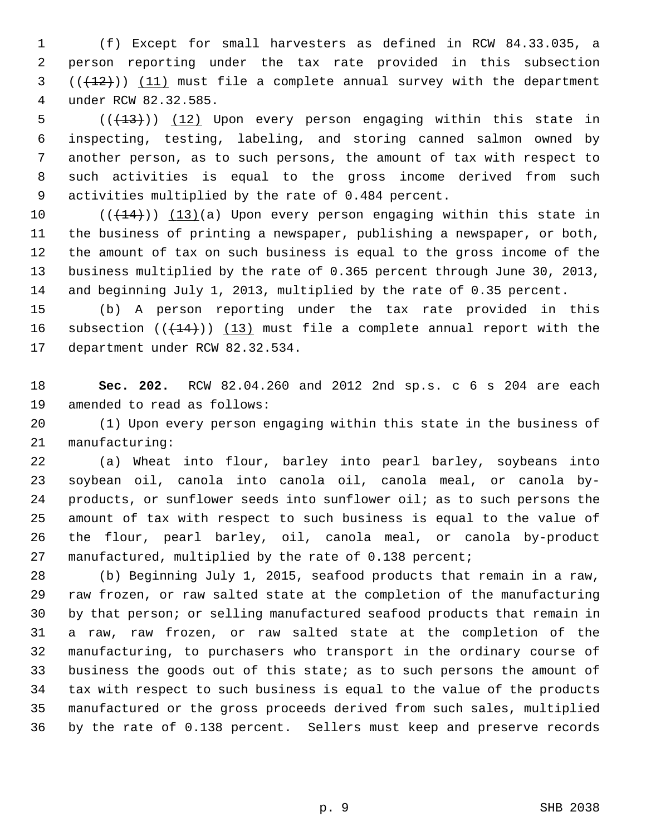1 (f) Except for small harvesters as defined in RCW 84.33.035, a 2 person reporting under the tax rate provided in this subsection  $(1, 12)$ ) (11) must file a complete annual survey with the department 4 under RCW 82.32.585.

5  $((+13))$  (12) Upon every person engaging within this state in 6 inspecting, testing, labeling, and storing canned salmon owned by 7 another person, as to such persons, the amount of tax with respect to 8 such activities is equal to the gross income derived from such 9 activities multiplied by the rate of 0.484 percent.

10  $((+14))$   $(13)(a)$  Upon every person engaging within this state in 11 the business of printing a newspaper, publishing a newspaper, or both, 12 the amount of tax on such business is equal to the gross income of the 13 business multiplied by the rate of 0.365 percent through June 30, 2013, 14 and beginning July 1, 2013, multiplied by the rate of 0.35 percent.

15 (b) A person reporting under the tax rate provided in this 16 subsection  $((+14))$  (13) must file a complete annual report with the 17 department under RCW 82.32.534.

18 **Sec. 202.** RCW 82.04.260 and 2012 2nd sp.s. c 6 s 204 are each 19 amended to read as follows:

20 (1) Upon every person engaging within this state in the business of 21 manufacturing:

22 (a) Wheat into flour, barley into pearl barley, soybeans into 23 soybean oil, canola into canola oil, canola meal, or canola by-24 products, or sunflower seeds into sunflower oil; as to such persons the 25 amount of tax with respect to such business is equal to the value of 26 the flour, pearl barley, oil, canola meal, or canola by-product 27 manufactured, multiplied by the rate of 0.138 percent;

28 (b) Beginning July 1, 2015, seafood products that remain in a raw, 29 raw frozen, or raw salted state at the completion of the manufacturing 30 by that person; or selling manufactured seafood products that remain in 31 a raw, raw frozen, or raw salted state at the completion of the 32 manufacturing, to purchasers who transport in the ordinary course of 33 business the goods out of this state; as to such persons the amount of 34 tax with respect to such business is equal to the value of the products 35 manufactured or the gross proceeds derived from such sales, multiplied 36 by the rate of 0.138 percent. Sellers must keep and preserve records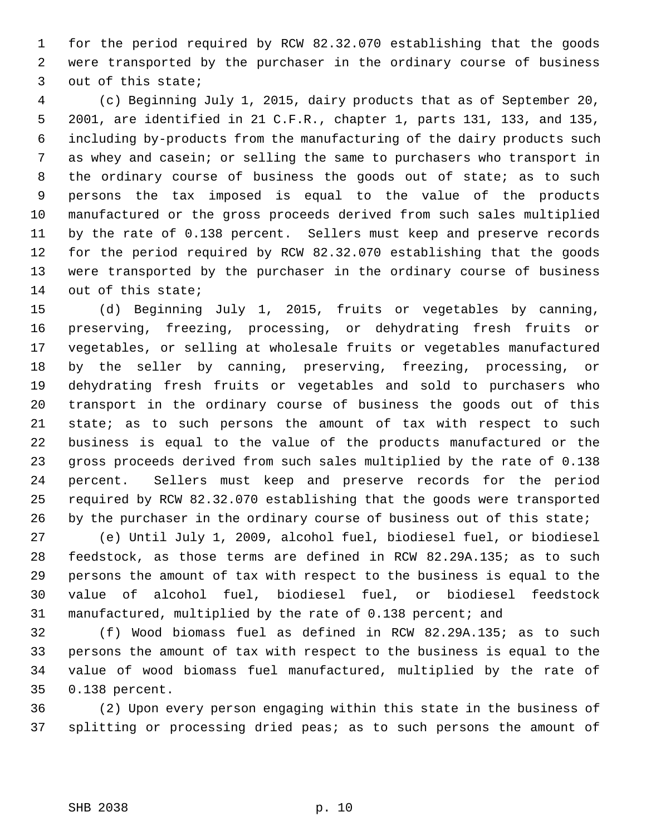1 for the period required by RCW 82.32.070 establishing that the goods 2 were transported by the purchaser in the ordinary course of business 3 out of this state;

 4 (c) Beginning July 1, 2015, dairy products that as of September 20, 5 2001, are identified in 21 C.F.R., chapter 1, parts 131, 133, and 135, 6 including by-products from the manufacturing of the dairy products such 7 as whey and casein; or selling the same to purchasers who transport in 8 the ordinary course of business the goods out of state; as to such 9 persons the tax imposed is equal to the value of the products 10 manufactured or the gross proceeds derived from such sales multiplied 11 by the rate of 0.138 percent. Sellers must keep and preserve records 12 for the period required by RCW 82.32.070 establishing that the goods 13 were transported by the purchaser in the ordinary course of business 14 out of this state;

15 (d) Beginning July 1, 2015, fruits or vegetables by canning, 16 preserving, freezing, processing, or dehydrating fresh fruits or 17 vegetables, or selling at wholesale fruits or vegetables manufactured 18 by the seller by canning, preserving, freezing, processing, or 19 dehydrating fresh fruits or vegetables and sold to purchasers who 20 transport in the ordinary course of business the goods out of this 21 state; as to such persons the amount of tax with respect to such 22 business is equal to the value of the products manufactured or the 23 gross proceeds derived from such sales multiplied by the rate of 0.138 24 percent. Sellers must keep and preserve records for the period 25 required by RCW 82.32.070 establishing that the goods were transported 26 by the purchaser in the ordinary course of business out of this state;

27 (e) Until July 1, 2009, alcohol fuel, biodiesel fuel, or biodiesel 28 feedstock, as those terms are defined in RCW 82.29A.135; as to such 29 persons the amount of tax with respect to the business is equal to the 30 value of alcohol fuel, biodiesel fuel, or biodiesel feedstock 31 manufactured, multiplied by the rate of 0.138 percent; and

32 (f) Wood biomass fuel as defined in RCW 82.29A.135; as to such 33 persons the amount of tax with respect to the business is equal to the 34 value of wood biomass fuel manufactured, multiplied by the rate of 35 0.138 percent.

36 (2) Upon every person engaging within this state in the business of 37 splitting or processing dried peas; as to such persons the amount of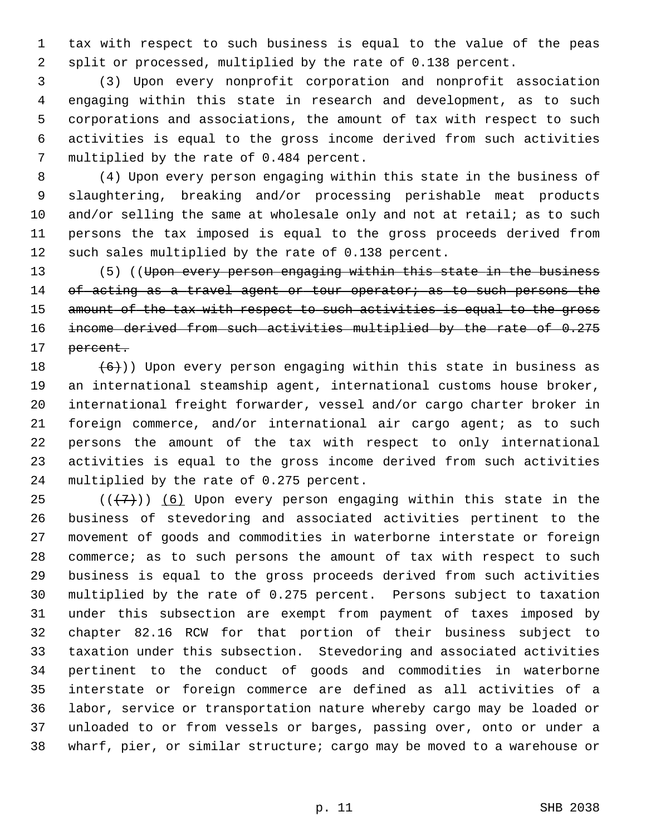1 tax with respect to such business is equal to the value of the peas 2 split or processed, multiplied by the rate of 0.138 percent.

 3 (3) Upon every nonprofit corporation and nonprofit association 4 engaging within this state in research and development, as to such 5 corporations and associations, the amount of tax with respect to such 6 activities is equal to the gross income derived from such activities 7 multiplied by the rate of 0.484 percent.

 8 (4) Upon every person engaging within this state in the business of 9 slaughtering, breaking and/or processing perishable meat products 10 and/or selling the same at wholesale only and not at retail; as to such 11 persons the tax imposed is equal to the gross proceeds derived from 12 such sales multiplied by the rate of 0.138 percent.

13 (5) ((Upon every person engaging within this state in the business 14 of acting as a travel agent or tour operator; as to such persons the 15 amount of the tax with respect to such activities is equal to the gross 16 income derived from such activities multiplied by the rate of 0.275 17 <del>percent.</del>

18  $(6)$ )) Upon every person engaging within this state in business as 19 an international steamship agent, international customs house broker, 20 international freight forwarder, vessel and/or cargo charter broker in 21 foreign commerce, and/or international air cargo agent; as to such 22 persons the amount of the tax with respect to only international 23 activities is equal to the gross income derived from such activities 24 multiplied by the rate of 0.275 percent.

25 ( $(\overline{+7})$ ) (6) Upon every person engaging within this state in the 26 business of stevedoring and associated activities pertinent to the 27 movement of goods and commodities in waterborne interstate or foreign 28 commerce; as to such persons the amount of tax with respect to such 29 business is equal to the gross proceeds derived from such activities 30 multiplied by the rate of 0.275 percent. Persons subject to taxation 31 under this subsection are exempt from payment of taxes imposed by 32 chapter 82.16 RCW for that portion of their business subject to 33 taxation under this subsection. Stevedoring and associated activities 34 pertinent to the conduct of goods and commodities in waterborne 35 interstate or foreign commerce are defined as all activities of a 36 labor, service or transportation nature whereby cargo may be loaded or 37 unloaded to or from vessels or barges, passing over, onto or under a 38 wharf, pier, or similar structure; cargo may be moved to a warehouse or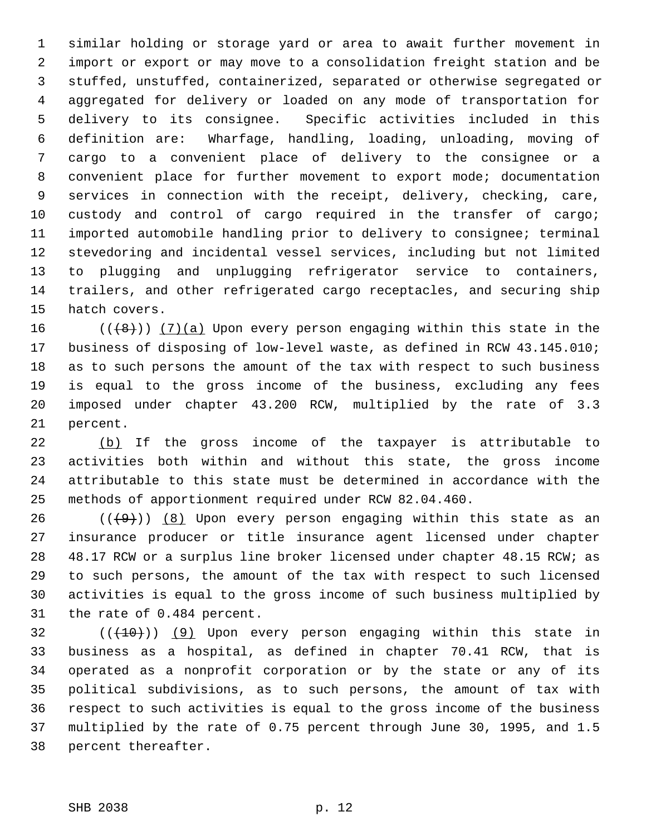1 similar holding or storage yard or area to await further movement in 2 import or export or may move to a consolidation freight station and be 3 stuffed, unstuffed, containerized, separated or otherwise segregated or 4 aggregated for delivery or loaded on any mode of transportation for 5 delivery to its consignee. Specific activities included in this 6 definition are: Wharfage, handling, loading, unloading, moving of 7 cargo to a convenient place of delivery to the consignee or a 8 convenient place for further movement to export mode; documentation 9 services in connection with the receipt, delivery, checking, care, 10 custody and control of cargo required in the transfer of cargo; 11 imported automobile handling prior to delivery to consignee; terminal 12 stevedoring and incidental vessel services, including but not limited 13 to plugging and unplugging refrigerator service to containers, 14 trailers, and other refrigerated cargo receptacles, and securing ship 15 hatch covers.

16 ( $(\{8\})$ ) (7)(a) Upon every person engaging within this state in the 17 business of disposing of low-level waste, as defined in RCW 43.145.010; 18 as to such persons the amount of the tax with respect to such business 19 is equal to the gross income of the business, excluding any fees 20 imposed under chapter 43.200 RCW, multiplied by the rate of 3.3 21 percent.

22 (b) If the gross income of the taxpayer is attributable to 23 activities both within and without this state, the gross income 24 attributable to this state must be determined in accordance with the 25 methods of apportionment required under RCW 82.04.460.

26 ( $(\frac{49}{})$ ) (8) Upon every person engaging within this state as an 27 insurance producer or title insurance agent licensed under chapter 28 48.17 RCW or a surplus line broker licensed under chapter 48.15 RCW; as 29 to such persons, the amount of the tax with respect to such licensed 30 activities is equal to the gross income of such business multiplied by 31 the rate of 0.484 percent.

 $32$  (( $(10)$ ) (9) Upon every person engaging within this state in 33 business as a hospital, as defined in chapter 70.41 RCW, that is 34 operated as a nonprofit corporation or by the state or any of its 35 political subdivisions, as to such persons, the amount of tax with 36 respect to such activities is equal to the gross income of the business 37 multiplied by the rate of 0.75 percent through June 30, 1995, and 1.5 38 percent thereafter.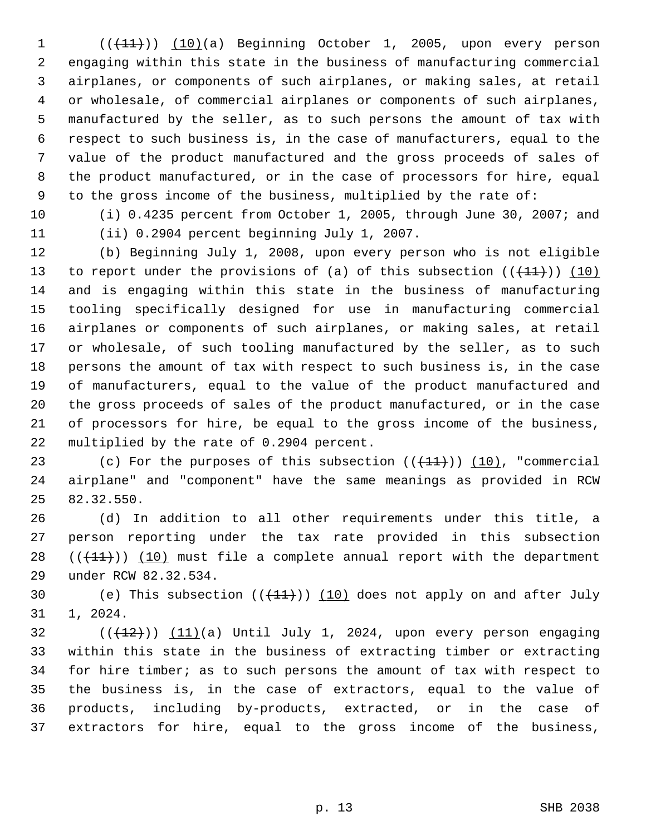$1$  ( $(\frac{11}{1})$ ) (10)(a) Beginning October 1, 2005, upon every person 2 engaging within this state in the business of manufacturing commercial 3 airplanes, or components of such airplanes, or making sales, at retail 4 or wholesale, of commercial airplanes or components of such airplanes, 5 manufactured by the seller, as to such persons the amount of tax with 6 respect to such business is, in the case of manufacturers, equal to the 7 value of the product manufactured and the gross proceeds of sales of 8 the product manufactured, or in the case of processors for hire, equal 9 to the gross income of the business, multiplied by the rate of:

10 (i) 0.4235 percent from October 1, 2005, through June 30, 2007; and 11 (ii) 0.2904 percent beginning July 1, 2007.

12 (b) Beginning July 1, 2008, upon every person who is not eligible 13 to report under the provisions of (a) of this subsection  $((+11))$  (10) 14 and is engaging within this state in the business of manufacturing 15 tooling specifically designed for use in manufacturing commercial 16 airplanes or components of such airplanes, or making sales, at retail 17 or wholesale, of such tooling manufactured by the seller, as to such 18 persons the amount of tax with respect to such business is, in the case 19 of manufacturers, equal to the value of the product manufactured and 20 the gross proceeds of sales of the product manufactured, or in the case 21 of processors for hire, be equal to the gross income of the business, 22 multiplied by the rate of 0.2904 percent.

23 (c) For the purposes of this subsection  $((+11))$  (10), "commercial 24 airplane" and "component" have the same meanings as provided in RCW 25 82.32.550.

26 (d) In addition to all other requirements under this title, a 27 person reporting under the tax rate provided in this subsection 28  $((+11))$  (10) must file a complete annual report with the department 29 under RCW 82.32.534.

30 (e) This subsection  $((+11))$  (10) does not apply on and after July 31 1, 2024.

 $(11)(a)$  Until July 1, 2024, upon every person engaging 33 within this state in the business of extracting timber or extracting 34 for hire timber; as to such persons the amount of tax with respect to 35 the business is, in the case of extractors, equal to the value of 36 products, including by-products, extracted, or in the case of 37 extractors for hire, equal to the gross income of the business,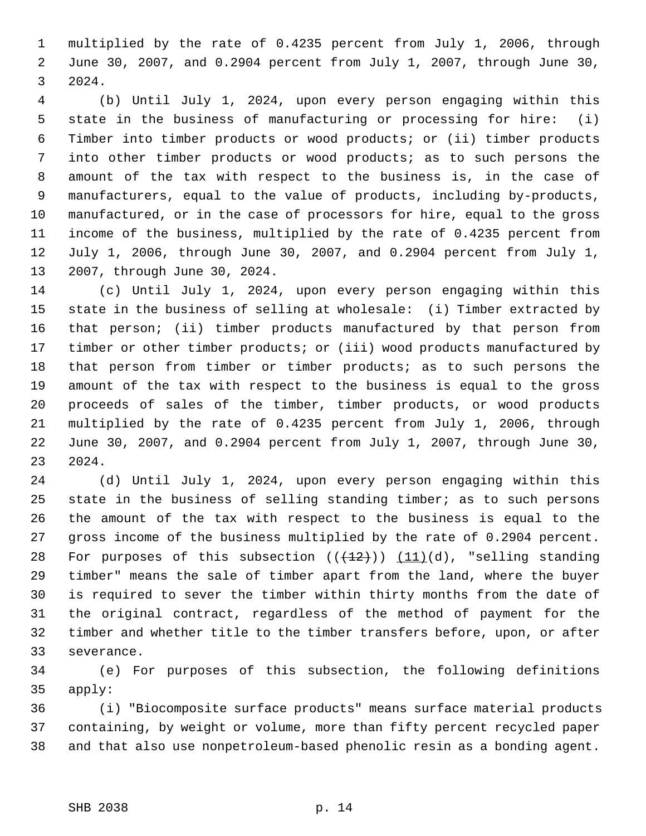1 multiplied by the rate of 0.4235 percent from July 1, 2006, through 2 June 30, 2007, and 0.2904 percent from July 1, 2007, through June 30, 3 2024.

 4 (b) Until July 1, 2024, upon every person engaging within this 5 state in the business of manufacturing or processing for hire: (i) 6 Timber into timber products or wood products; or (ii) timber products 7 into other timber products or wood products; as to such persons the 8 amount of the tax with respect to the business is, in the case of 9 manufacturers, equal to the value of products, including by-products, 10 manufactured, or in the case of processors for hire, equal to the gross 11 income of the business, multiplied by the rate of 0.4235 percent from 12 July 1, 2006, through June 30, 2007, and 0.2904 percent from July 1, 13 2007, through June 30, 2024.

14 (c) Until July 1, 2024, upon every person engaging within this 15 state in the business of selling at wholesale: (i) Timber extracted by 16 that person; (ii) timber products manufactured by that person from 17 timber or other timber products; or (iii) wood products manufactured by 18 that person from timber or timber products; as to such persons the 19 amount of the tax with respect to the business is equal to the gross 20 proceeds of sales of the timber, timber products, or wood products 21 multiplied by the rate of 0.4235 percent from July 1, 2006, through 22 June 30, 2007, and 0.2904 percent from July 1, 2007, through June 30, 23 2024.

24 (d) Until July 1, 2024, upon every person engaging within this 25 state in the business of selling standing timber; as to such persons 26 the amount of the tax with respect to the business is equal to the 27 gross income of the business multiplied by the rate of 0.2904 percent. 28 For purposes of this subsection  $((+12))$   $(11)(d)$ , "selling standing 29 timber" means the sale of timber apart from the land, where the buyer 30 is required to sever the timber within thirty months from the date of 31 the original contract, regardless of the method of payment for the 32 timber and whether title to the timber transfers before, upon, or after 33 severance.

34 (e) For purposes of this subsection, the following definitions 35 apply:

36 (i) "Biocomposite surface products" means surface material products 37 containing, by weight or volume, more than fifty percent recycled paper 38 and that also use nonpetroleum-based phenolic resin as a bonding agent.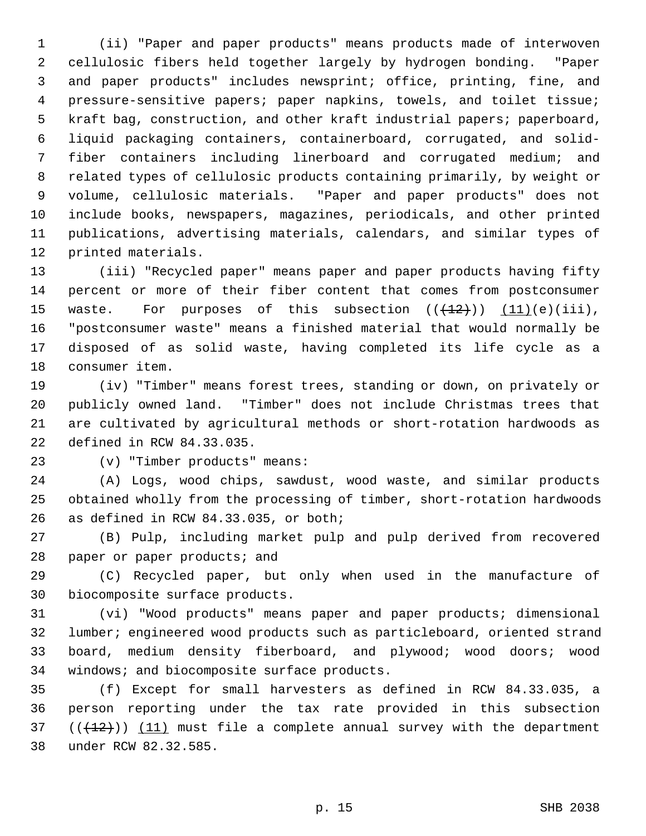1 (ii) "Paper and paper products" means products made of interwoven 2 cellulosic fibers held together largely by hydrogen bonding. "Paper 3 and paper products" includes newsprint; office, printing, fine, and 4 pressure-sensitive papers; paper napkins, towels, and toilet tissue; 5 kraft bag, construction, and other kraft industrial papers; paperboard, 6 liquid packaging containers, containerboard, corrugated, and solid- 7 fiber containers including linerboard and corrugated medium; and 8 related types of cellulosic products containing primarily, by weight or 9 volume, cellulosic materials. "Paper and paper products" does not 10 include books, newspapers, magazines, periodicals, and other printed 11 publications, advertising materials, calendars, and similar types of 12 printed materials.

13 (iii) "Recycled paper" means paper and paper products having fifty 14 percent or more of their fiber content that comes from postconsumer 15 waste. For purposes of this subsection  $((+12))$   $(11)(e)(iii)$ , 16 "postconsumer waste" means a finished material that would normally be 17 disposed of as solid waste, having completed its life cycle as a 18 consumer item.

19 (iv) "Timber" means forest trees, standing or down, on privately or 20 publicly owned land. "Timber" does not include Christmas trees that 21 are cultivated by agricultural methods or short-rotation hardwoods as 22 defined in RCW 84.33.035.

23 (v) "Timber products" means:

24 (A) Logs, wood chips, sawdust, wood waste, and similar products 25 obtained wholly from the processing of timber, short-rotation hardwoods 26 as defined in RCW 84.33.035, or both;

27 (B) Pulp, including market pulp and pulp derived from recovered 28 paper or paper products; and

29 (C) Recycled paper, but only when used in the manufacture of 30 biocomposite surface products.

31 (vi) "Wood products" means paper and paper products; dimensional 32 lumber; engineered wood products such as particleboard, oriented strand 33 board, medium density fiberboard, and plywood; wood doors; wood 34 windows; and biocomposite surface products.

35 (f) Except for small harvesters as defined in RCW 84.33.035, a 36 person reporting under the tax rate provided in this subsection 37  $((+12))$  (11) must file a complete annual survey with the department 38 under RCW 82.32.585.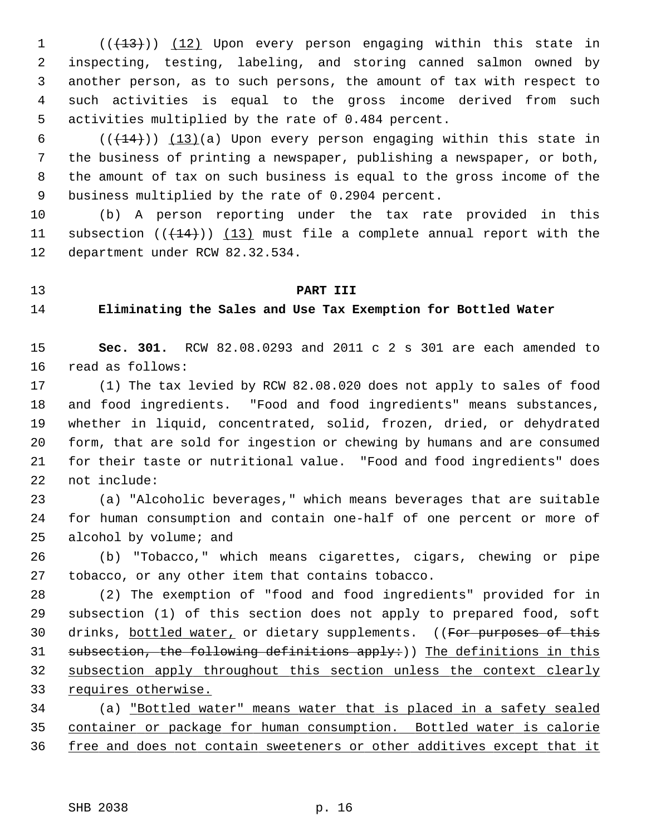1 (( $(13)$ )) (12) Upon every person engaging within this state in 2 inspecting, testing, labeling, and storing canned salmon owned by 3 another person, as to such persons, the amount of tax with respect to 4 such activities is equal to the gross income derived from such 5 activities multiplied by the rate of 0.484 percent.

6  $((+14))$   $(13)(a)$  Upon every person engaging within this state in 7 the business of printing a newspaper, publishing a newspaper, or both, 8 the amount of tax on such business is equal to the gross income of the 9 business multiplied by the rate of 0.2904 percent.

10 (b) A person reporting under the tax rate provided in this 11 subsection  $((+14))$   $(13)$  must file a complete annual report with the 12 department under RCW 82.32.534.

# 13 **PART III**

## 14 **Eliminating the Sales and Use Tax Exemption for Bottled Water**

15 **Sec. 301.** RCW 82.08.0293 and 2011 c 2 s 301 are each amended to 16 read as follows:

17 (1) The tax levied by RCW 82.08.020 does not apply to sales of food 18 and food ingredients. "Food and food ingredients" means substances, 19 whether in liquid, concentrated, solid, frozen, dried, or dehydrated 20 form, that are sold for ingestion or chewing by humans and are consumed 21 for their taste or nutritional value. "Food and food ingredients" does 22 not include:

23 (a) "Alcoholic beverages," which means beverages that are suitable 24 for human consumption and contain one-half of one percent or more of 25 alcohol by volume; and

26 (b) "Tobacco," which means cigarettes, cigars, chewing or pipe 27 tobacco, or any other item that contains tobacco.

28 (2) The exemption of "food and food ingredients" provided for in 29 subsection (1) of this section does not apply to prepared food, soft 30 drinks, bottled water, or dietary supplements. ((For purposes of this 31 subsection, the following definitions apply:)) The definitions in this 32 subsection apply throughout this section unless the context clearly 33 requires otherwise.

34 (a) "Bottled water" means water that is placed in a safety sealed 35 container or package for human consumption. Bottled water is calorie 36 free and does not contain sweeteners or other additives except that it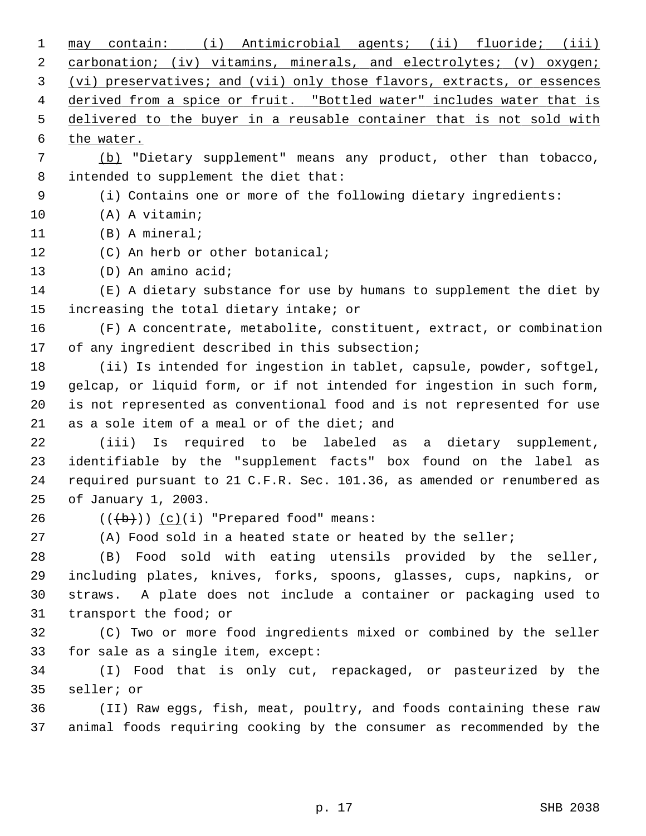| 1  | may contain: (i) Antimicrobial agents; (ii) fluoride; (iii)             |
|----|-------------------------------------------------------------------------|
| 2  | carbonation; (iv) vitamins, minerals, and electrolytes; (v) oxygen;     |
| 3  | (vi) preservatives; and (vii) only those flavors, extracts, or essences |
| 4  | derived from a spice or fruit. "Bottled water" includes water that is   |
| 5  | delivered to the buyer in a reusable container that is not sold with    |
| 6  | the water.                                                              |
| 7  | (b) "Dietary supplement" means any product, other than tobacco,         |
| 8  | intended to supplement the diet that:                                   |
| 9  | (i) Contains one or more of the following dietary ingredients:          |
| 10 | (A) A vitamin;                                                          |
| 11 | $(B)$ A mineral;                                                        |
| 12 | (C) An herb or other botanical;                                         |
| 13 | (D) An amino acid;                                                      |
| 14 | (E) A dietary substance for use by humans to supplement the diet by     |
| 15 | increasing the total dietary intake; or                                 |
| 16 | (F) A concentrate, metabolite, constituent, extract, or combination     |
| 17 | of any ingredient described in this subsection;                         |
| 18 | (ii) Is intended for ingestion in tablet, capsule, powder, softgel,     |
| 19 | gelcap, or liquid form, or if not intended for ingestion in such form,  |
| 20 | is not represented as conventional food and is not represented for use  |
| 21 | as a sole item of a meal or of the diet; and                            |
| 22 | (iii) Is required to be labeled as a dietary supplement,                |
| 23 | identifiable by the "supplement facts" box found on the label as        |
| 24 | required pursuant to 21 C.F.R. Sec. 101.36, as amended or renumbered as |
| 25 | of January 1, 2003.                                                     |
| 26 | $((+b))$ $(c)(i)$ "Prepared food" means:                                |
| 27 | (A) Food sold in a heated state or heated by the seller;                |
| 28 | (B) Food sold with eating utensils provided by the seller,              |
| 29 | including plates, knives, forks, spoons, glasses, cups, napkins, or     |
| 30 | straws. A plate does not include a container or packaging used to       |
| 31 | transport the food; or                                                  |
| 32 | (C) Two or more food ingredients mixed or combined by the seller        |
| 33 | for sale as a single item, except:                                      |
| 34 | (I) Food that is only cut, repackaged, or pasteurized by the            |
| 35 | seller; or                                                              |
| 36 | (II) Raw eggs, fish, meat, poultry, and foods containing these raw      |
| 37 | animal foods requiring cooking by the consumer as recommended by the    |
|    |                                                                         |

p. 17 SHB 2038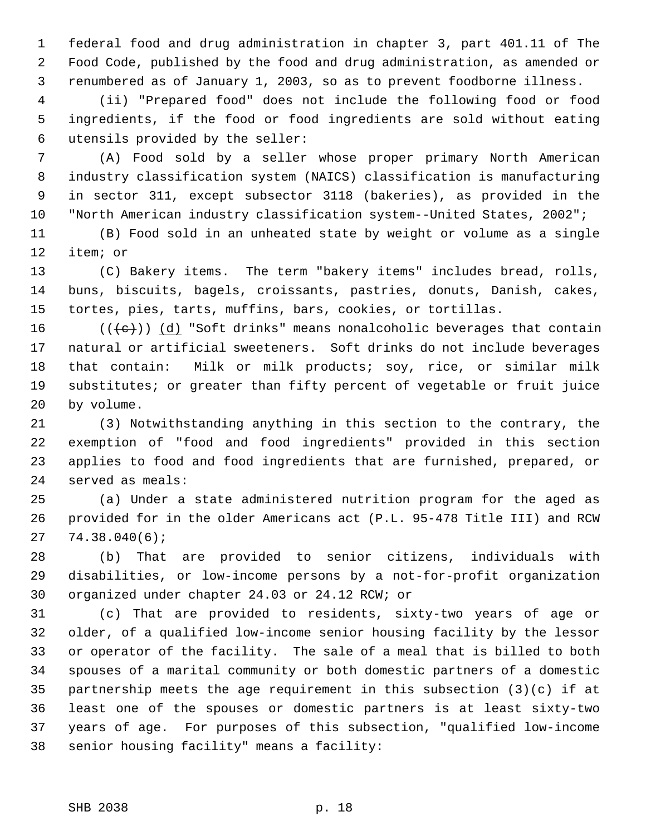1 federal food and drug administration in chapter 3, part 401.11 of The 2 Food Code, published by the food and drug administration, as amended or 3 renumbered as of January 1, 2003, so as to prevent foodborne illness.

 4 (ii) "Prepared food" does not include the following food or food 5 ingredients, if the food or food ingredients are sold without eating 6 utensils provided by the seller:

 7 (A) Food sold by a seller whose proper primary North American 8 industry classification system (NAICS) classification is manufacturing 9 in sector 311, except subsector 3118 (bakeries), as provided in the 10 "North American industry classification system--United States, 2002";

11 (B) Food sold in an unheated state by weight or volume as a single 12 item; or

13 (C) Bakery items. The term "bakery items" includes bread, rolls, 14 buns, biscuits, bagels, croissants, pastries, donuts, Danish, cakes, 15 tortes, pies, tarts, muffins, bars, cookies, or tortillas.

16 ( $(\langle e \rangle)$ ) (d) "Soft drinks" means nonalcoholic beverages that contain 17 natural or artificial sweeteners. Soft drinks do not include beverages 18 that contain: Milk or milk products; soy, rice, or similar milk 19 substitutes; or greater than fifty percent of vegetable or fruit juice 20 by volume.

21 (3) Notwithstanding anything in this section to the contrary, the 22 exemption of "food and food ingredients" provided in this section 23 applies to food and food ingredients that are furnished, prepared, or 24 served as meals:

25 (a) Under a state administered nutrition program for the aged as 26 provided for in the older Americans act (P.L. 95-478 Title III) and RCW 27 74.38.040(6);

28 (b) That are provided to senior citizens, individuals with 29 disabilities, or low-income persons by a not-for-profit organization 30 organized under chapter 24.03 or 24.12 RCW; or

31 (c) That are provided to residents, sixty-two years of age or 32 older, of a qualified low-income senior housing facility by the lessor 33 or operator of the facility. The sale of a meal that is billed to both 34 spouses of a marital community or both domestic partners of a domestic 35 partnership meets the age requirement in this subsection (3)(c) if at 36 least one of the spouses or domestic partners is at least sixty-two 37 years of age. For purposes of this subsection, "qualified low-income 38 senior housing facility" means a facility: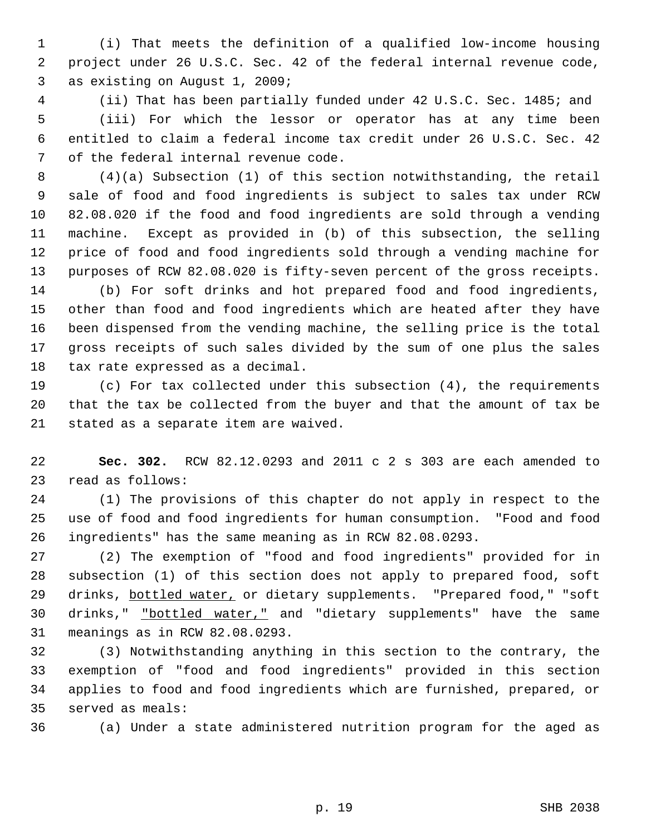1 (i) That meets the definition of a qualified low-income housing 2 project under 26 U.S.C. Sec. 42 of the federal internal revenue code, 3 as existing on August 1, 2009;

 4 (ii) That has been partially funded under 42 U.S.C. Sec. 1485; and 5 (iii) For which the lessor or operator has at any time been 6 entitled to claim a federal income tax credit under 26 U.S.C. Sec. 42 7 of the federal internal revenue code.

 8 (4)(a) Subsection (1) of this section notwithstanding, the retail 9 sale of food and food ingredients is subject to sales tax under RCW 10 82.08.020 if the food and food ingredients are sold through a vending 11 machine. Except as provided in (b) of this subsection, the selling 12 price of food and food ingredients sold through a vending machine for 13 purposes of RCW 82.08.020 is fifty-seven percent of the gross receipts.

14 (b) For soft drinks and hot prepared food and food ingredients, 15 other than food and food ingredients which are heated after they have 16 been dispensed from the vending machine, the selling price is the total 17 gross receipts of such sales divided by the sum of one plus the sales 18 tax rate expressed as a decimal.

19 (c) For tax collected under this subsection (4), the requirements 20 that the tax be collected from the buyer and that the amount of tax be 21 stated as a separate item are waived.

22 **Sec. 302.** RCW 82.12.0293 and 2011 c 2 s 303 are each amended to 23 read as follows:

24 (1) The provisions of this chapter do not apply in respect to the 25 use of food and food ingredients for human consumption. "Food and food 26 ingredients" has the same meaning as in RCW 82.08.0293.

27 (2) The exemption of "food and food ingredients" provided for in 28 subsection (1) of this section does not apply to prepared food, soft 29 drinks, bottled water, or dietary supplements. "Prepared food," "soft 30 drinks," "bottled water," and "dietary supplements" have the same 31 meanings as in RCW 82.08.0293.

32 (3) Notwithstanding anything in this section to the contrary, the 33 exemption of "food and food ingredients" provided in this section 34 applies to food and food ingredients which are furnished, prepared, or 35 served as meals:

36 (a) Under a state administered nutrition program for the aged as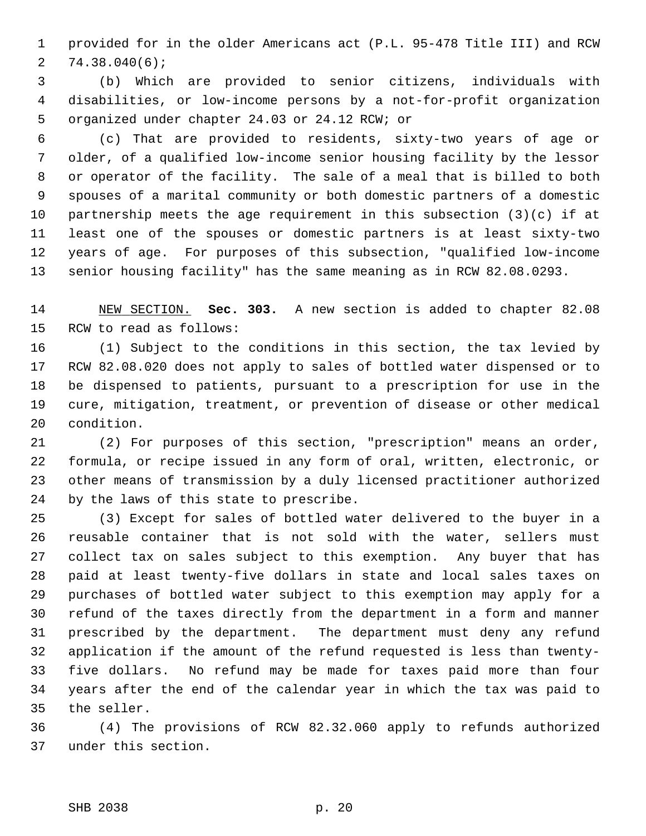1 provided for in the older Americans act (P.L. 95-478 Title III) and RCW 2 74.38.040(6);

 3 (b) Which are provided to senior citizens, individuals with 4 disabilities, or low-income persons by a not-for-profit organization 5 organized under chapter 24.03 or 24.12 RCW; or

 6 (c) That are provided to residents, sixty-two years of age or 7 older, of a qualified low-income senior housing facility by the lessor 8 or operator of the facility. The sale of a meal that is billed to both 9 spouses of a marital community or both domestic partners of a domestic 10 partnership meets the age requirement in this subsection (3)(c) if at 11 least one of the spouses or domestic partners is at least sixty-two 12 years of age. For purposes of this subsection, "qualified low-income 13 senior housing facility" has the same meaning as in RCW 82.08.0293.

14 NEW SECTION. **Sec. 303.** A new section is added to chapter 82.08 15 RCW to read as follows:

16 (1) Subject to the conditions in this section, the tax levied by 17 RCW 82.08.020 does not apply to sales of bottled water dispensed or to 18 be dispensed to patients, pursuant to a prescription for use in the 19 cure, mitigation, treatment, or prevention of disease or other medical 20 condition.

21 (2) For purposes of this section, "prescription" means an order, 22 formula, or recipe issued in any form of oral, written, electronic, or 23 other means of transmission by a duly licensed practitioner authorized 24 by the laws of this state to prescribe.

25 (3) Except for sales of bottled water delivered to the buyer in a 26 reusable container that is not sold with the water, sellers must 27 collect tax on sales subject to this exemption. Any buyer that has 28 paid at least twenty-five dollars in state and local sales taxes on 29 purchases of bottled water subject to this exemption may apply for a 30 refund of the taxes directly from the department in a form and manner 31 prescribed by the department. The department must deny any refund 32 application if the amount of the refund requested is less than twenty-33 five dollars. No refund may be made for taxes paid more than four 34 years after the end of the calendar year in which the tax was paid to 35 the seller.

36 (4) The provisions of RCW 82.32.060 apply to refunds authorized 37 under this section.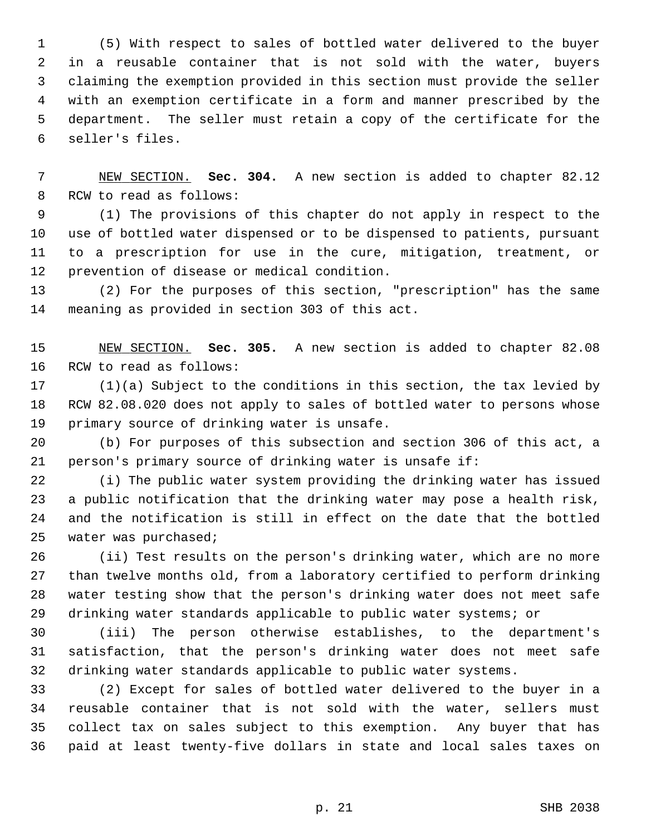1 (5) With respect to sales of bottled water delivered to the buyer 2 in a reusable container that is not sold with the water, buyers 3 claiming the exemption provided in this section must provide the seller 4 with an exemption certificate in a form and manner prescribed by the 5 department. The seller must retain a copy of the certificate for the 6 seller's files.

 7 NEW SECTION. **Sec. 304.** A new section is added to chapter 82.12 8 RCW to read as follows:

 9 (1) The provisions of this chapter do not apply in respect to the 10 use of bottled water dispensed or to be dispensed to patients, pursuant 11 to a prescription for use in the cure, mitigation, treatment, or 12 prevention of disease or medical condition.

13 (2) For the purposes of this section, "prescription" has the same 14 meaning as provided in section 303 of this act.

15 NEW SECTION. **Sec. 305.** A new section is added to chapter 82.08 16 RCW to read as follows:

17 (1)(a) Subject to the conditions in this section, the tax levied by 18 RCW 82.08.020 does not apply to sales of bottled water to persons whose 19 primary source of drinking water is unsafe.

20 (b) For purposes of this subsection and section 306 of this act, a 21 person's primary source of drinking water is unsafe if:

22 (i) The public water system providing the drinking water has issued 23 a public notification that the drinking water may pose a health risk, 24 and the notification is still in effect on the date that the bottled 25 water was purchased;

26 (ii) Test results on the person's drinking water, which are no more 27 than twelve months old, from a laboratory certified to perform drinking 28 water testing show that the person's drinking water does not meet safe 29 drinking water standards applicable to public water systems; or

30 (iii) The person otherwise establishes, to the department's 31 satisfaction, that the person's drinking water does not meet safe 32 drinking water standards applicable to public water systems.

33 (2) Except for sales of bottled water delivered to the buyer in a 34 reusable container that is not sold with the water, sellers must 35 collect tax on sales subject to this exemption. Any buyer that has 36 paid at least twenty-five dollars in state and local sales taxes on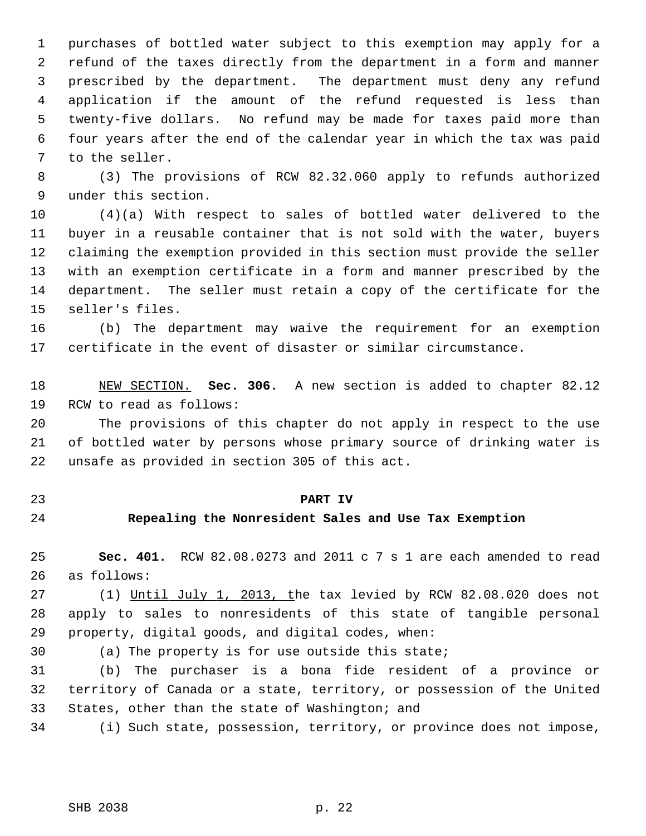1 purchases of bottled water subject to this exemption may apply for a 2 refund of the taxes directly from the department in a form and manner 3 prescribed by the department. The department must deny any refund 4 application if the amount of the refund requested is less than 5 twenty-five dollars. No refund may be made for taxes paid more than 6 four years after the end of the calendar year in which the tax was paid 7 to the seller.

 8 (3) The provisions of RCW 82.32.060 apply to refunds authorized 9 under this section.

10 (4)(a) With respect to sales of bottled water delivered to the 11 buyer in a reusable container that is not sold with the water, buyers 12 claiming the exemption provided in this section must provide the seller 13 with an exemption certificate in a form and manner prescribed by the 14 department. The seller must retain a copy of the certificate for the 15 seller's files.

16 (b) The department may waive the requirement for an exemption 17 certificate in the event of disaster or similar circumstance.

18 NEW SECTION. **Sec. 306.** A new section is added to chapter 82.12 19 RCW to read as follows:

20 The provisions of this chapter do not apply in respect to the use 21 of bottled water by persons whose primary source of drinking water is 22 unsafe as provided in section 305 of this act.

- 
- 

## 23 **PART IV**

## 24 **Repealing the Nonresident Sales and Use Tax Exemption**

25 **Sec. 401.** RCW 82.08.0273 and 2011 c 7 s 1 are each amended to read 26 as follows:

27 (1) Until July 1, 2013, the tax levied by RCW 82.08.020 does not 28 apply to sales to nonresidents of this state of tangible personal 29 property, digital goods, and digital codes, when:

30 (a) The property is for use outside this state;

31 (b) The purchaser is a bona fide resident of a province or 32 territory of Canada or a state, territory, or possession of the United 33 States, other than the state of Washington; and

34 (i) Such state, possession, territory, or province does not impose,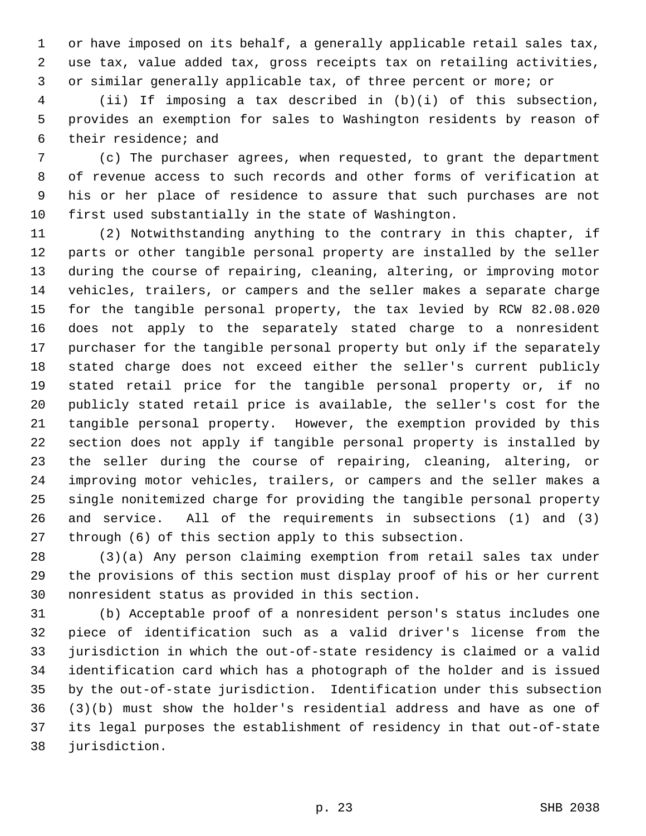1 or have imposed on its behalf, a generally applicable retail sales tax, 2 use tax, value added tax, gross receipts tax on retailing activities, 3 or similar generally applicable tax, of three percent or more; or

 4 (ii) If imposing a tax described in (b)(i) of this subsection, 5 provides an exemption for sales to Washington residents by reason of 6 their residence; and

 7 (c) The purchaser agrees, when requested, to grant the department 8 of revenue access to such records and other forms of verification at 9 his or her place of residence to assure that such purchases are not 10 first used substantially in the state of Washington.

11 (2) Notwithstanding anything to the contrary in this chapter, if 12 parts or other tangible personal property are installed by the seller 13 during the course of repairing, cleaning, altering, or improving motor 14 vehicles, trailers, or campers and the seller makes a separate charge 15 for the tangible personal property, the tax levied by RCW 82.08.020 16 does not apply to the separately stated charge to a nonresident 17 purchaser for the tangible personal property but only if the separately 18 stated charge does not exceed either the seller's current publicly 19 stated retail price for the tangible personal property or, if no 20 publicly stated retail price is available, the seller's cost for the 21 tangible personal property. However, the exemption provided by this 22 section does not apply if tangible personal property is installed by 23 the seller during the course of repairing, cleaning, altering, or 24 improving motor vehicles, trailers, or campers and the seller makes a 25 single nonitemized charge for providing the tangible personal property 26 and service. All of the requirements in subsections (1) and (3) 27 through (6) of this section apply to this subsection.

28 (3)(a) Any person claiming exemption from retail sales tax under 29 the provisions of this section must display proof of his or her current 30 nonresident status as provided in this section.

31 (b) Acceptable proof of a nonresident person's status includes one 32 piece of identification such as a valid driver's license from the 33 jurisdiction in which the out-of-state residency is claimed or a valid 34 identification card which has a photograph of the holder and is issued 35 by the out-of-state jurisdiction. Identification under this subsection 36 (3)(b) must show the holder's residential address and have as one of 37 its legal purposes the establishment of residency in that out-of-state 38 jurisdiction.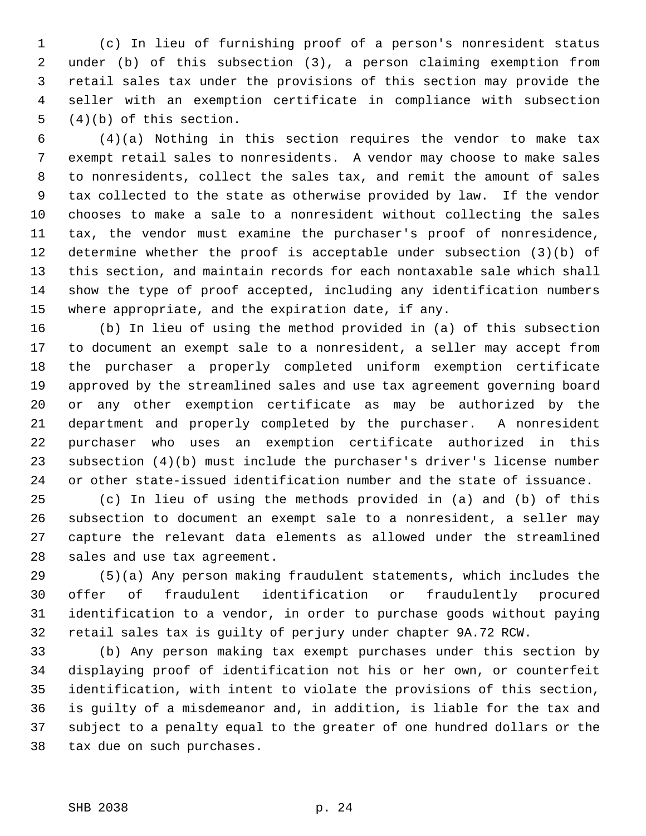1 (c) In lieu of furnishing proof of a person's nonresident status 2 under (b) of this subsection (3), a person claiming exemption from 3 retail sales tax under the provisions of this section may provide the 4 seller with an exemption certificate in compliance with subsection 5 (4)(b) of this section.

 6 (4)(a) Nothing in this section requires the vendor to make tax 7 exempt retail sales to nonresidents. A vendor may choose to make sales 8 to nonresidents, collect the sales tax, and remit the amount of sales 9 tax collected to the state as otherwise provided by law. If the vendor 10 chooses to make a sale to a nonresident without collecting the sales 11 tax, the vendor must examine the purchaser's proof of nonresidence, 12 determine whether the proof is acceptable under subsection (3)(b) of 13 this section, and maintain records for each nontaxable sale which shall 14 show the type of proof accepted, including any identification numbers 15 where appropriate, and the expiration date, if any.

16 (b) In lieu of using the method provided in (a) of this subsection 17 to document an exempt sale to a nonresident, a seller may accept from 18 the purchaser a properly completed uniform exemption certificate 19 approved by the streamlined sales and use tax agreement governing board 20 or any other exemption certificate as may be authorized by the 21 department and properly completed by the purchaser. A nonresident 22 purchaser who uses an exemption certificate authorized in this 23 subsection (4)(b) must include the purchaser's driver's license number 24 or other state-issued identification number and the state of issuance.

25 (c) In lieu of using the methods provided in (a) and (b) of this 26 subsection to document an exempt sale to a nonresident, a seller may 27 capture the relevant data elements as allowed under the streamlined 28 sales and use tax agreement.

29 (5)(a) Any person making fraudulent statements, which includes the 30 offer of fraudulent identification or fraudulently procured 31 identification to a vendor, in order to purchase goods without paying 32 retail sales tax is guilty of perjury under chapter 9A.72 RCW.

33 (b) Any person making tax exempt purchases under this section by 34 displaying proof of identification not his or her own, or counterfeit 35 identification, with intent to violate the provisions of this section, 36 is guilty of a misdemeanor and, in addition, is liable for the tax and 37 subject to a penalty equal to the greater of one hundred dollars or the 38 tax due on such purchases.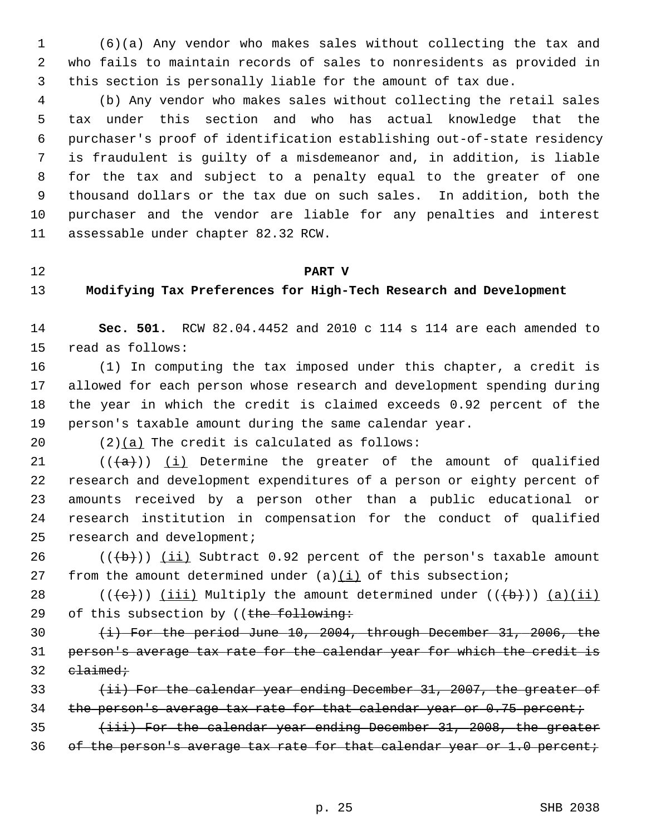1 (6)(a) Any vendor who makes sales without collecting the tax and 2 who fails to maintain records of sales to nonresidents as provided in 3 this section is personally liable for the amount of tax due.

 4 (b) Any vendor who makes sales without collecting the retail sales 5 tax under this section and who has actual knowledge that the 6 purchaser's proof of identification establishing out-of-state residency 7 is fraudulent is guilty of a misdemeanor and, in addition, is liable 8 for the tax and subject to a penalty equal to the greater of one 9 thousand dollars or the tax due on such sales. In addition, both the 10 purchaser and the vendor are liable for any penalties and interest 11 assessable under chapter 82.32 RCW.

#### 12 **PART V**

## 13 **Modifying Tax Preferences for High-Tech Research and Development**

14 **Sec. 501.** RCW 82.04.4452 and 2010 c 114 s 114 are each amended to 15 read as follows:

16 (1) In computing the tax imposed under this chapter, a credit is 17 allowed for each person whose research and development spending during 18 the year in which the credit is claimed exceeds 0.92 percent of the 19 person's taxable amount during the same calendar year.

20 (2)(a) The credit is calculated as follows:

21  $((+a))$  (i) Determine the greater of the amount of qualified 22 research and development expenditures of a person or eighty percent of 23 amounts received by a person other than a public educational or 24 research institution in compensation for the conduct of qualified 25 research and development;

26  $((\overline{\mathbf{b}}))$  (ii) Subtract 0.92 percent of the person's taxable amount 27 from the amount determined under (a)(i) of this subsection;

28 ( $(\overline{e})$ ) (iii) Multiply the amount determined under  $((\overline{b}))$  (a)(ii) 29 of this subsection by ((the following:

30 (i) For the period June 10, 2004, through December 31, 2006, the 31 person's average tax rate for the calendar year for which the credit is  $32$  claimed;

33 (ii) For the calendar year ending December 31, 2007, the greater of 34 the person's average tax rate for that calendar year or 0.75 percent;

35 (iii) For the calendar year ending December 31, 2008, the greater 36 of the person's average tax rate for that calendar year or  $1.0$  percent;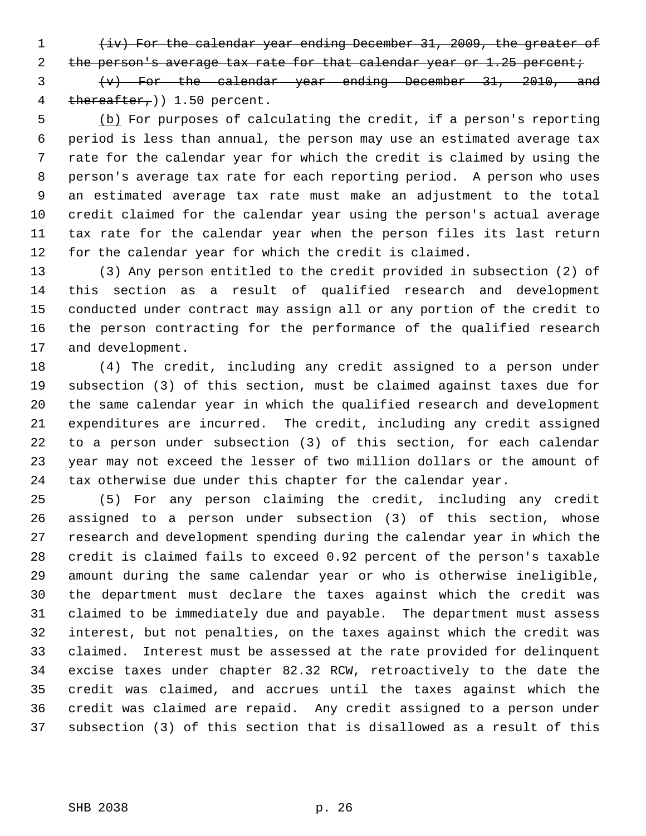1 (iv) For the calendar year ending December 31, 2009, the greater of

2 the person's average tax rate for that calendar year or 1.25 percent;

 3 (v) For the calendar year ending December 31, 2010, and 4 thereafter,  $(1.50 \text{ percent.})$ 

 5 (b) For purposes of calculating the credit, if a person's reporting 6 period is less than annual, the person may use an estimated average tax 7 rate for the calendar year for which the credit is claimed by using the 8 person's average tax rate for each reporting period. A person who uses 9 an estimated average tax rate must make an adjustment to the total 10 credit claimed for the calendar year using the person's actual average 11 tax rate for the calendar year when the person files its last return 12 for the calendar year for which the credit is claimed.

13 (3) Any person entitled to the credit provided in subsection (2) of 14 this section as a result of qualified research and development 15 conducted under contract may assign all or any portion of the credit to 16 the person contracting for the performance of the qualified research 17 and development.

18 (4) The credit, including any credit assigned to a person under 19 subsection (3) of this section, must be claimed against taxes due for 20 the same calendar year in which the qualified research and development 21 expenditures are incurred. The credit, including any credit assigned 22 to a person under subsection (3) of this section, for each calendar 23 year may not exceed the lesser of two million dollars or the amount of 24 tax otherwise due under this chapter for the calendar year.

25 (5) For any person claiming the credit, including any credit 26 assigned to a person under subsection (3) of this section, whose 27 research and development spending during the calendar year in which the 28 credit is claimed fails to exceed 0.92 percent of the person's taxable 29 amount during the same calendar year or who is otherwise ineligible, 30 the department must declare the taxes against which the credit was 31 claimed to be immediately due and payable. The department must assess 32 interest, but not penalties, on the taxes against which the credit was 33 claimed. Interest must be assessed at the rate provided for delinquent 34 excise taxes under chapter 82.32 RCW, retroactively to the date the 35 credit was claimed, and accrues until the taxes against which the 36 credit was claimed are repaid. Any credit assigned to a person under 37 subsection (3) of this section that is disallowed as a result of this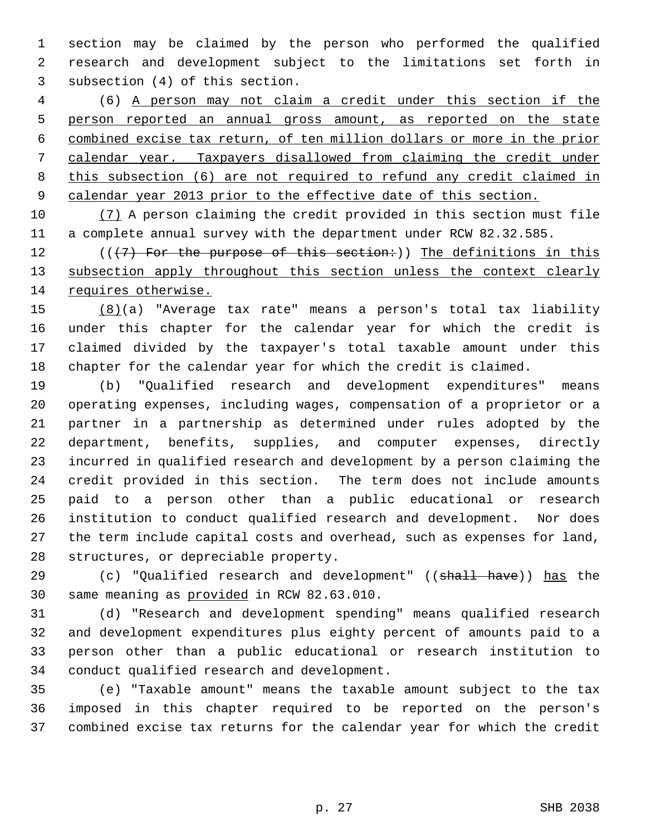1 section may be claimed by the person who performed the qualified 2 research and development subject to the limitations set forth in 3 subsection (4) of this section.

 4 (6) A person may not claim a credit under this section if the person reported an annual gross amount, as reported on the state combined excise tax return, of ten million dollars or more in the prior calendar year. Taxpayers disallowed from claiming the credit under this subsection (6) are not required to refund any credit claimed in calendar year 2013 prior to the effective date of this section.

10 (7) A person claiming the credit provided in this section must file 11 a complete annual survey with the department under RCW 82.32.585.

12 ( $($ ( $($  $+7)$ ) For the purpose of this section:)) The definitions in this 13 subsection apply throughout this section unless the context clearly 14 requires otherwise.

15 (8)(a) "Average tax rate" means a person's total tax liability 16 under this chapter for the calendar year for which the credit is 17 claimed divided by the taxpayer's total taxable amount under this 18 chapter for the calendar year for which the credit is claimed.

19 (b) "Qualified research and development expenditures" means 20 operating expenses, including wages, compensation of a proprietor or a 21 partner in a partnership as determined under rules adopted by the 22 department, benefits, supplies, and computer expenses, directly 23 incurred in qualified research and development by a person claiming the 24 credit provided in this section. The term does not include amounts 25 paid to a person other than a public educational or research 26 institution to conduct qualified research and development. Nor does 27 the term include capital costs and overhead, such as expenses for land, 28 structures, or depreciable property.

29 (c) "Qualified research and development" ((shall have)) has the 30 same meaning as provided in RCW 82.63.010.

31 (d) "Research and development spending" means qualified research 32 and development expenditures plus eighty percent of amounts paid to a 33 person other than a public educational or research institution to 34 conduct qualified research and development.

35 (e) "Taxable amount" means the taxable amount subject to the tax 36 imposed in this chapter required to be reported on the person's 37 combined excise tax returns for the calendar year for which the credit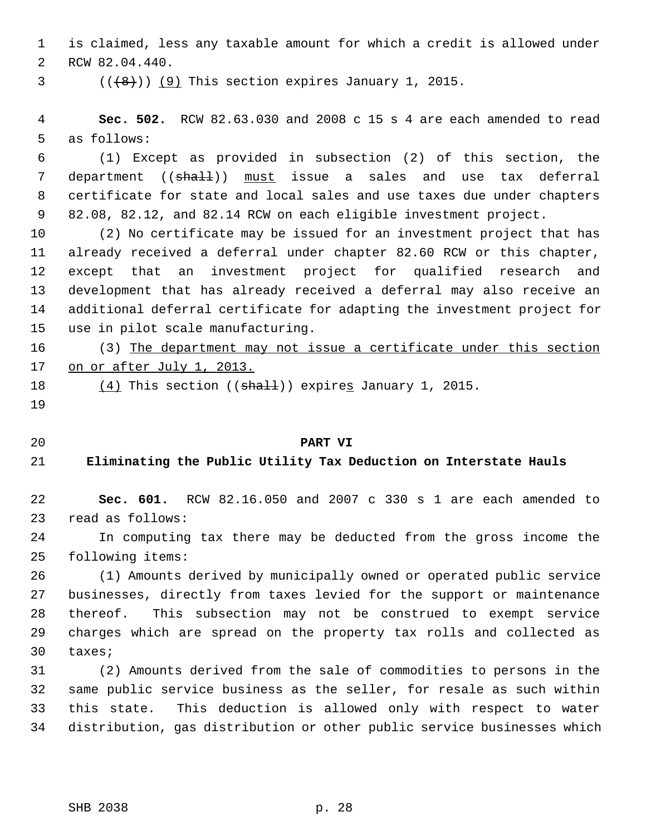1 is claimed, less any taxable amount for which a credit is allowed under 2 RCW 82.04.440.

 $($   $($  $($  $($  $($  $\{$  $\}$  $)$ )  $($   $9)$  This section expires January 1, 2015.

 4 **Sec. 502.** RCW 82.63.030 and 2008 c 15 s 4 are each amended to read 5 as follows:

 6 (1) Except as provided in subsection (2) of this section, the 7 department ((shall)) must issue a sales and use tax deferral 8 certificate for state and local sales and use taxes due under chapters 9 82.08, 82.12, and 82.14 RCW on each eligible investment project.

10 (2) No certificate may be issued for an investment project that has 11 already received a deferral under chapter 82.60 RCW or this chapter, 12 except that an investment project for qualified research and 13 development that has already received a deferral may also receive an 14 additional deferral certificate for adapting the investment project for 15 use in pilot scale manufacturing.

16 (3) The department may not issue a certificate under this section 17 on or after July 1, 2013.

18  $(4)$  This section (( $\frac{1}{2}$ ) expires January 1, 2015.

19

### 20 **PART VI**

## 21 **Eliminating the Public Utility Tax Deduction on Interstate Hauls**

22 **Sec. 601.** RCW 82.16.050 and 2007 c 330 s 1 are each amended to 23 read as follows:

24 In computing tax there may be deducted from the gross income the 25 following items:

26 (1) Amounts derived by municipally owned or operated public service 27 businesses, directly from taxes levied for the support or maintenance 28 thereof. This subsection may not be construed to exempt service 29 charges which are spread on the property tax rolls and collected as 30 taxes;

31 (2) Amounts derived from the sale of commodities to persons in the 32 same public service business as the seller, for resale as such within 33 this state. This deduction is allowed only with respect to water 34 distribution, gas distribution or other public service businesses which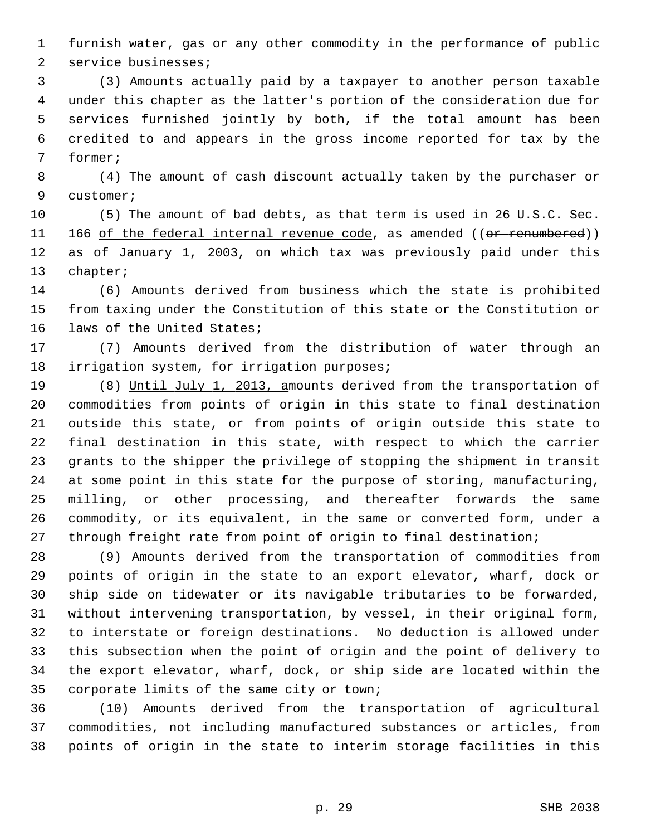1 furnish water, gas or any other commodity in the performance of public 2 service businesses;

 3 (3) Amounts actually paid by a taxpayer to another person taxable 4 under this chapter as the latter's portion of the consideration due for 5 services furnished jointly by both, if the total amount has been 6 credited to and appears in the gross income reported for tax by the 7 former;

 8 (4) The amount of cash discount actually taken by the purchaser or 9 customer;

10 (5) The amount of bad debts, as that term is used in 26 U.S.C. Sec. 11 166 of the federal internal revenue code, as amended ((or renumbered)) 12 as of January 1, 2003, on which tax was previously paid under this 13 chapter;

14 (6) Amounts derived from business which the state is prohibited 15 from taxing under the Constitution of this state or the Constitution or 16 laws of the United States;

17 (7) Amounts derived from the distribution of water through an 18 irrigation system, for irrigation purposes;

19 (8) Until July 1, 2013, amounts derived from the transportation of 20 commodities from points of origin in this state to final destination 21 outside this state, or from points of origin outside this state to 22 final destination in this state, with respect to which the carrier 23 grants to the shipper the privilege of stopping the shipment in transit 24 at some point in this state for the purpose of storing, manufacturing, 25 milling, or other processing, and thereafter forwards the same 26 commodity, or its equivalent, in the same or converted form, under a 27 through freight rate from point of origin to final destination;

28 (9) Amounts derived from the transportation of commodities from 29 points of origin in the state to an export elevator, wharf, dock or 30 ship side on tidewater or its navigable tributaries to be forwarded, 31 without intervening transportation, by vessel, in their original form, 32 to interstate or foreign destinations. No deduction is allowed under 33 this subsection when the point of origin and the point of delivery to 34 the export elevator, wharf, dock, or ship side are located within the 35 corporate limits of the same city or town;

36 (10) Amounts derived from the transportation of agricultural 37 commodities, not including manufactured substances or articles, from 38 points of origin in the state to interim storage facilities in this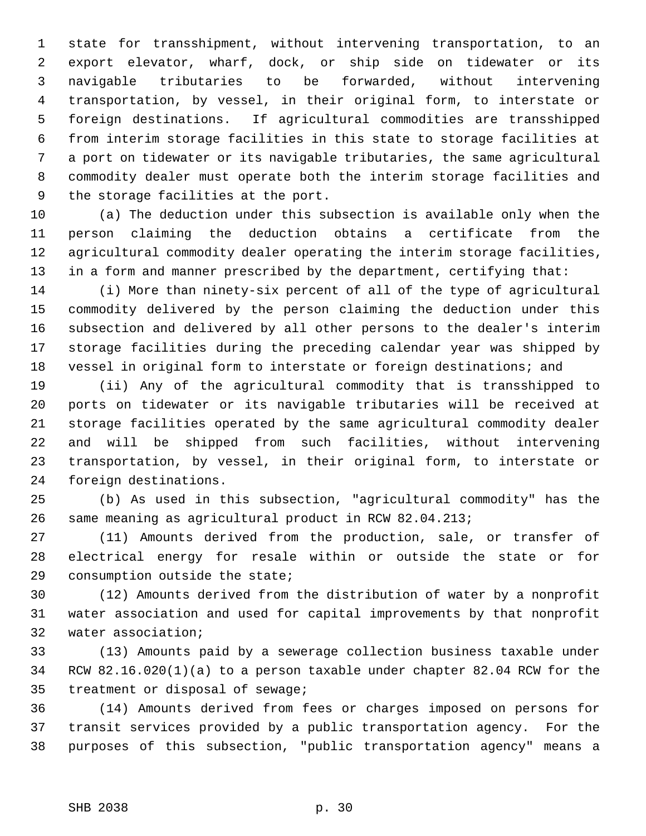1 state for transshipment, without intervening transportation, to an 2 export elevator, wharf, dock, or ship side on tidewater or its 3 navigable tributaries to be forwarded, without intervening 4 transportation, by vessel, in their original form, to interstate or 5 foreign destinations. If agricultural commodities are transshipped 6 from interim storage facilities in this state to storage facilities at 7 a port on tidewater or its navigable tributaries, the same agricultural 8 commodity dealer must operate both the interim storage facilities and 9 the storage facilities at the port.

10 (a) The deduction under this subsection is available only when the 11 person claiming the deduction obtains a certificate from the 12 agricultural commodity dealer operating the interim storage facilities, 13 in a form and manner prescribed by the department, certifying that:

14 (i) More than ninety-six percent of all of the type of agricultural 15 commodity delivered by the person claiming the deduction under this 16 subsection and delivered by all other persons to the dealer's interim 17 storage facilities during the preceding calendar year was shipped by 18 vessel in original form to interstate or foreign destinations; and

19 (ii) Any of the agricultural commodity that is transshipped to 20 ports on tidewater or its navigable tributaries will be received at 21 storage facilities operated by the same agricultural commodity dealer 22 and will be shipped from such facilities, without intervening 23 transportation, by vessel, in their original form, to interstate or 24 foreign destinations.

25 (b) As used in this subsection, "agricultural commodity" has the 26 same meaning as agricultural product in RCW 82.04.213;

27 (11) Amounts derived from the production, sale, or transfer of 28 electrical energy for resale within or outside the state or for 29 consumption outside the state;

30 (12) Amounts derived from the distribution of water by a nonprofit 31 water association and used for capital improvements by that nonprofit 32 water association;

33 (13) Amounts paid by a sewerage collection business taxable under 34 RCW 82.16.020(1)(a) to a person taxable under chapter 82.04 RCW for the 35 treatment or disposal of sewage;

36 (14) Amounts derived from fees or charges imposed on persons for 37 transit services provided by a public transportation agency. For the 38 purposes of this subsection, "public transportation agency" means a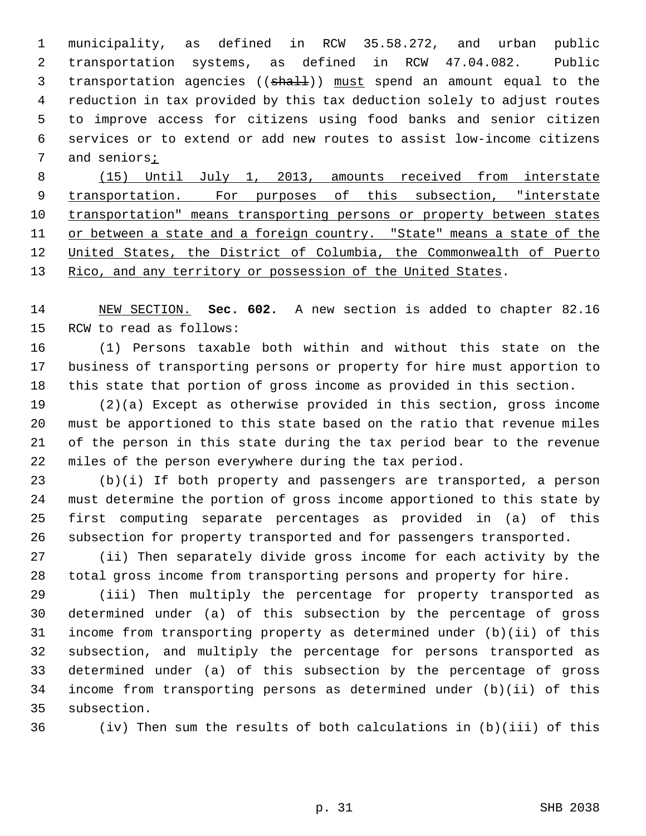1 municipality, as defined in RCW 35.58.272, and urban public 2 transportation systems, as defined in RCW 47.04.082. Public 3 transportation agencies ((shall)) must spend an amount equal to the 4 reduction in tax provided by this tax deduction solely to adjust routes 5 to improve access for citizens using food banks and senior citizen 6 services or to extend or add new routes to assist low-income citizens 7 and seniors;

 (15) Until July 1, 2013, amounts received from interstate transportation. For purposes of this subsection, "interstate transportation" means transporting persons or property between states or between a state and a foreign country. "State" means a state of the United States, the District of Columbia, the Commonwealth of Puerto Rico, and any territory or possession of the United States.

14 NEW SECTION. **Sec. 602.** A new section is added to chapter 82.16 15 RCW to read as follows:

16 (1) Persons taxable both within and without this state on the 17 business of transporting persons or property for hire must apportion to 18 this state that portion of gross income as provided in this section.

19 (2)(a) Except as otherwise provided in this section, gross income 20 must be apportioned to this state based on the ratio that revenue miles 21 of the person in this state during the tax period bear to the revenue 22 miles of the person everywhere during the tax period.

23 (b)(i) If both property and passengers are transported, a person 24 must determine the portion of gross income apportioned to this state by 25 first computing separate percentages as provided in (a) of this 26 subsection for property transported and for passengers transported.

27 (ii) Then separately divide gross income for each activity by the 28 total gross income from transporting persons and property for hire.

29 (iii) Then multiply the percentage for property transported as 30 determined under (a) of this subsection by the percentage of gross 31 income from transporting property as determined under (b)(ii) of this 32 subsection, and multiply the percentage for persons transported as 33 determined under (a) of this subsection by the percentage of gross 34 income from transporting persons as determined under (b)(ii) of this 35 subsection.

36 (iv) Then sum the results of both calculations in (b)(iii) of this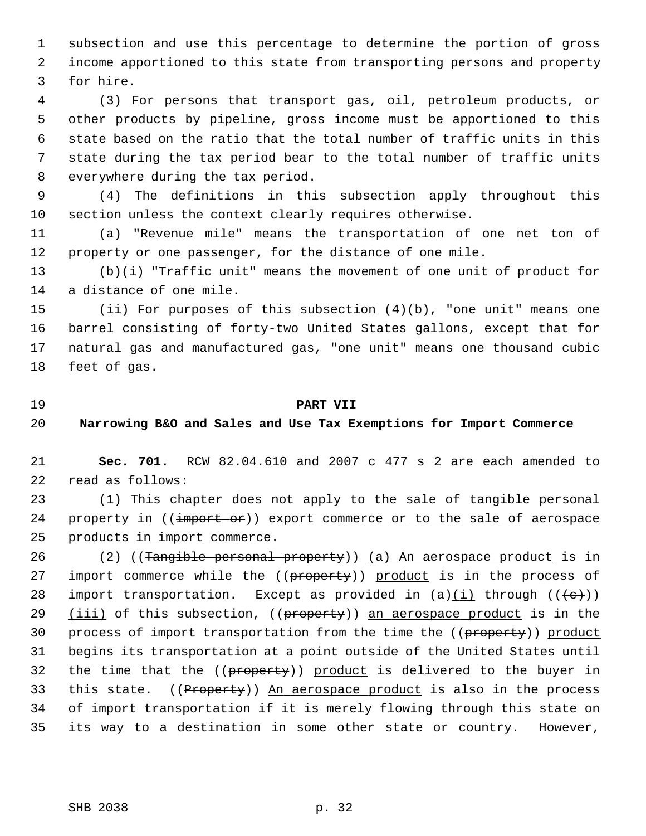1 subsection and use this percentage to determine the portion of gross 2 income apportioned to this state from transporting persons and property 3 for hire.

 4 (3) For persons that transport gas, oil, petroleum products, or 5 other products by pipeline, gross income must be apportioned to this 6 state based on the ratio that the total number of traffic units in this 7 state during the tax period bear to the total number of traffic units 8 everywhere during the tax period.

 9 (4) The definitions in this subsection apply throughout this 10 section unless the context clearly requires otherwise.

11 (a) "Revenue mile" means the transportation of one net ton of 12 property or one passenger, for the distance of one mile.

13 (b)(i) "Traffic unit" means the movement of one unit of product for 14 a distance of one mile.

15 (ii) For purposes of this subsection (4)(b), "one unit" means one 16 barrel consisting of forty-two United States gallons, except that for 17 natural gas and manufactured gas, "one unit" means one thousand cubic 18 feet of gas.

#### 19 **PART VII**

20 **Narrowing B&O and Sales and Use Tax Exemptions for Import Commerce**

21 **Sec. 701.** RCW 82.04.610 and 2007 c 477 s 2 are each amended to 22 read as follows:

23 (1) This chapter does not apply to the sale of tangible personal 24 property in  $((\text{import of})$  export commerce or to the sale of aerospace 25 products in import commerce.

26 (2) ((Tangible personal property)) (a) An aerospace product is in 27 import commerce while the ((property)) product is in the process of 28 import transportation. Except as provided in  $(a)(i)$  through  $((e+))$ 29 (iii) of this subsection, ((property)) an aerospace product is in the 30 process of import transportation from the time the ((property)) product 31 begins its transportation at a point outside of the United States until 32 the time that the ((property)) product is delivered to the buyer in 33 this state. ((Property)) An aerospace product is also in the process 34 of import transportation if it is merely flowing through this state on 35 its way to a destination in some other state or country. However,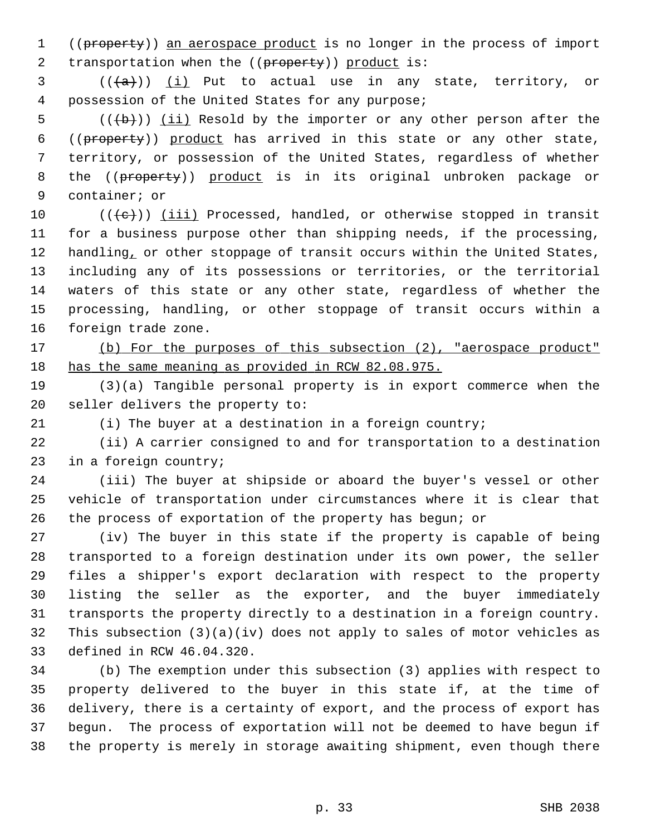1 ((property)) an aerospace product is no longer in the process of import 2 transportation when the ((property)) product is:

 $3$  (( $\{a\})$ ) (i) Put to actual use in any state, territory, or 4 possession of the United States for any purpose;

5  $((\theta)^*)$  (ii) Resold by the importer or any other person after the 6 ((property)) product has arrived in this state or any other state, 7 territory, or possession of the United States, regardless of whether 8 the ((property)) product is in its original unbroken package or 9 container; or

10  $((\{e\})$  (iii) Processed, handled, or otherwise stopped in transit 11 for a business purpose other than shipping needs, if the processing, 12 handling, or other stoppage of transit occurs within the United States, 13 including any of its possessions or territories, or the territorial 14 waters of this state or any other state, regardless of whether the 15 processing, handling, or other stoppage of transit occurs within a 16 foreign trade zone.

17 (b) For the purposes of this subsection (2), "aerospace product" 18 has the same meaning as provided in RCW 82.08.975.

19 (3)(a) Tangible personal property is in export commerce when the 20 seller delivers the property to:

21 (i) The buyer at a destination in a foreign country;

22 (ii) A carrier consigned to and for transportation to a destination 23 in a foreign country;

24 (iii) The buyer at shipside or aboard the buyer's vessel or other 25 vehicle of transportation under circumstances where it is clear that 26 the process of exportation of the property has begun; or

27 (iv) The buyer in this state if the property is capable of being 28 transported to a foreign destination under its own power, the seller 29 files a shipper's export declaration with respect to the property 30 listing the seller as the exporter, and the buyer immediately 31 transports the property directly to a destination in a foreign country. 32 This subsection (3)(a)(iv) does not apply to sales of motor vehicles as 33 defined in RCW 46.04.320.

34 (b) The exemption under this subsection (3) applies with respect to 35 property delivered to the buyer in this state if, at the time of 36 delivery, there is a certainty of export, and the process of export has 37 begun. The process of exportation will not be deemed to have begun if 38 the property is merely in storage awaiting shipment, even though there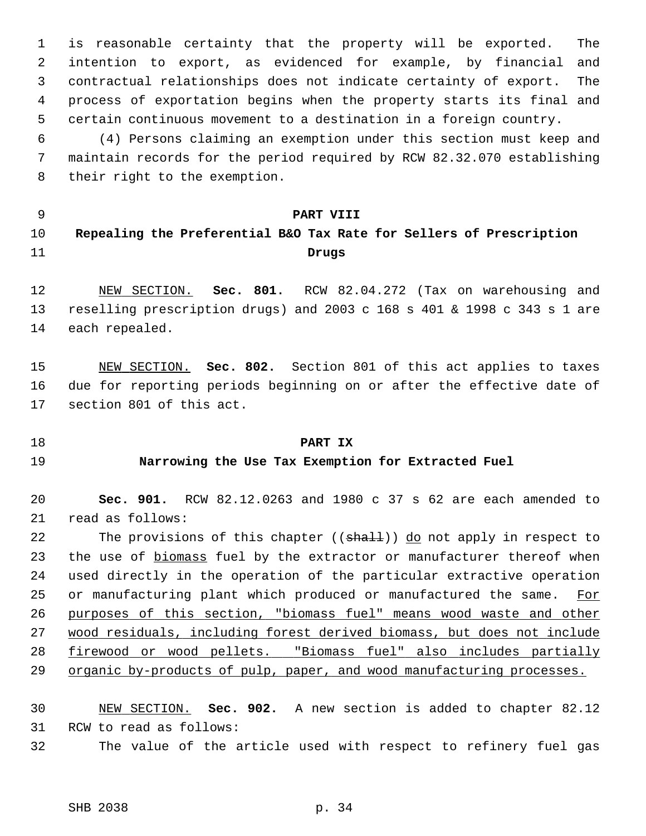1 is reasonable certainty that the property will be exported. The 2 intention to export, as evidenced for example, by financial and 3 contractual relationships does not indicate certainty of export. The 4 process of exportation begins when the property starts its final and 5 certain continuous movement to a destination in a foreign country.

 6 (4) Persons claiming an exemption under this section must keep and 7 maintain records for the period required by RCW 82.32.070 establishing 8 their right to the exemption.

## 9 **PART VIII**

# 10 **Repealing the Preferential B&O Tax Rate for Sellers of Prescription** 11 **Drugs**

12 NEW SECTION. **Sec. 801.** RCW 82.04.272 (Tax on warehousing and 13 reselling prescription drugs) and 2003 c 168 s 401 & 1998 c 343 s 1 are 14 each repealed.

15 NEW SECTION. **Sec. 802.** Section 801 of this act applies to taxes 16 due for reporting periods beginning on or after the effective date of 17 section 801 of this act.

## 18 **PART IX**

## 19 **Narrowing the Use Tax Exemption for Extracted Fuel**

20 **Sec. 901.** RCW 82.12.0263 and 1980 c 37 s 62 are each amended to 21 read as follows:

22 The provisions of this chapter ((shall)) do not apply in respect to 23 the use of biomass fuel by the extractor or manufacturer thereof when 24 used directly in the operation of the particular extractive operation 25 or manufacturing plant which produced or manufactured the same. For 26 purposes of this section, "biomass fuel" means wood waste and other 27 wood residuals, including forest derived biomass, but does not include 28 firewood or wood pellets. "Biomass fuel" also includes partially 29 organic by-products of pulp, paper, and wood manufacturing processes.

## 30 NEW SECTION. **Sec. 902.** A new section is added to chapter 82.12 31 RCW to read as follows:

32 The value of the article used with respect to refinery fuel gas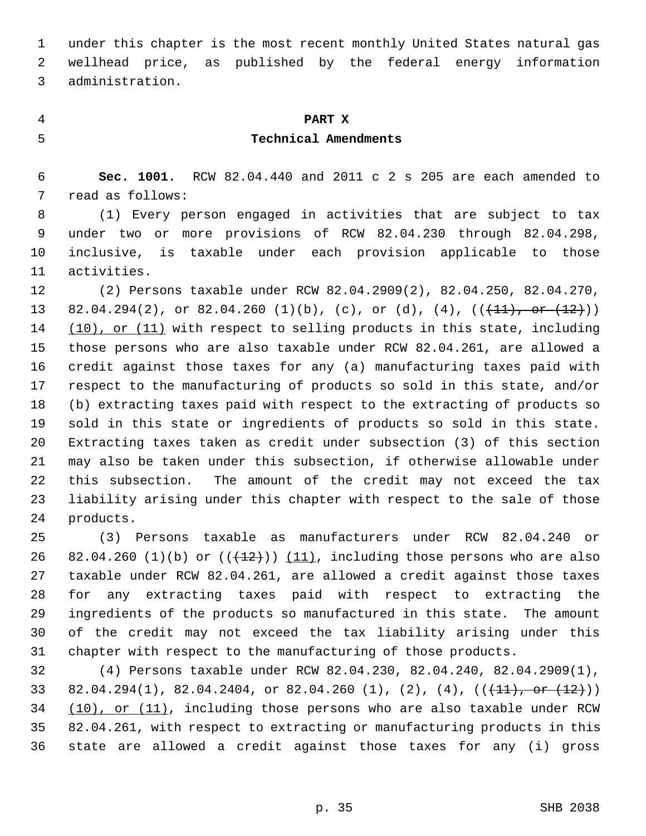1 under this chapter is the most recent monthly United States natural gas 2 wellhead price, as published by the federal energy information 3 administration.

#### 4 **PART X**

## 5 **Technical Amendments**

 6 **Sec. 1001.** RCW 82.04.440 and 2011 c 2 s 205 are each amended to 7 read as follows:

 8 (1) Every person engaged in activities that are subject to tax 9 under two or more provisions of RCW 82.04.230 through 82.04.298, 10 inclusive, is taxable under each provision applicable to those 11 activities.

12 (2) Persons taxable under RCW 82.04.2909(2), 82.04.250, 82.04.270, 13 82.04.294(2), or 82.04.260 (1)(b), (c), or (d), (4),  $((+11),$  or  $(12))$ 14 (10), or (11) with respect to selling products in this state, including 15 those persons who are also taxable under RCW 82.04.261, are allowed a 16 credit against those taxes for any (a) manufacturing taxes paid with 17 respect to the manufacturing of products so sold in this state, and/or 18 (b) extracting taxes paid with respect to the extracting of products so 19 sold in this state or ingredients of products so sold in this state. 20 Extracting taxes taken as credit under subsection (3) of this section 21 may also be taken under this subsection, if otherwise allowable under 22 this subsection. The amount of the credit may not exceed the tax 23 liability arising under this chapter with respect to the sale of those 24 products.

25 (3) Persons taxable as manufacturers under RCW 82.04.240 or 26 82.04.260 (1)(b) or  $((+12))$  (11), including those persons who are also 27 taxable under RCW 82.04.261, are allowed a credit against those taxes 28 for any extracting taxes paid with respect to extracting the 29 ingredients of the products so manufactured in this state. The amount 30 of the credit may not exceed the tax liability arising under this 31 chapter with respect to the manufacturing of those products.

32 (4) Persons taxable under RCW 82.04.230, 82.04.240, 82.04.2909(1), 33 82.04.294(1), 82.04.2404, or 82.04.260 (1), (2), (4),  $((+11),$  or  $(12))$ 34 (10), or (11), including those persons who are also taxable under RCW 35 82.04.261, with respect to extracting or manufacturing products in this 36 state are allowed a credit against those taxes for any (i) gross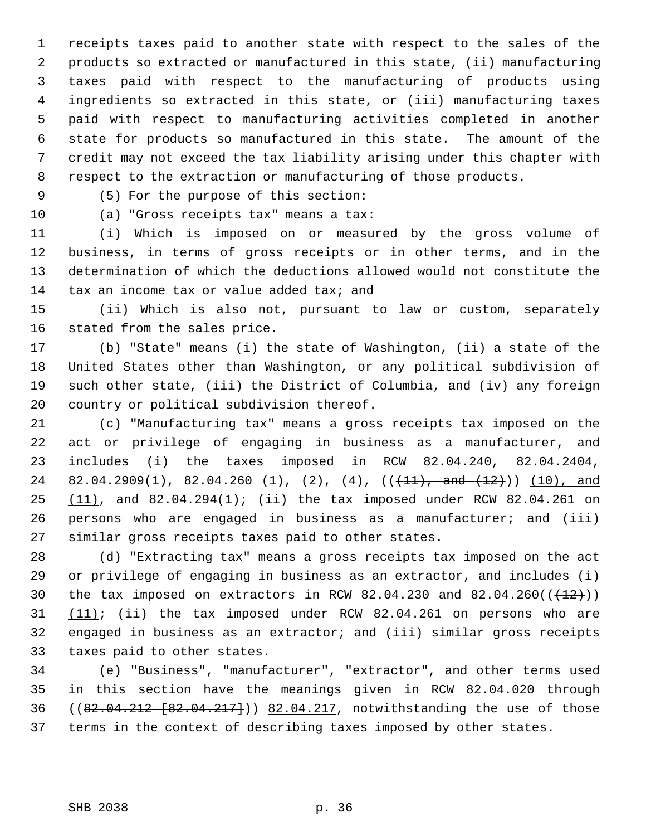1 receipts taxes paid to another state with respect to the sales of the 2 products so extracted or manufactured in this state, (ii) manufacturing 3 taxes paid with respect to the manufacturing of products using 4 ingredients so extracted in this state, or (iii) manufacturing taxes 5 paid with respect to manufacturing activities completed in another 6 state for products so manufactured in this state. The amount of the 7 credit may not exceed the tax liability arising under this chapter with 8 respect to the extraction or manufacturing of those products.

9 (5) For the purpose of this section:

10 (a) "Gross receipts tax" means a tax:

11 (i) Which is imposed on or measured by the gross volume of 12 business, in terms of gross receipts or in other terms, and in the 13 determination of which the deductions allowed would not constitute the 14 tax an income tax or value added tax; and

15 (ii) Which is also not, pursuant to law or custom, separately 16 stated from the sales price.

17 (b) "State" means (i) the state of Washington, (ii) a state of the 18 United States other than Washington, or any political subdivision of 19 such other state, (iii) the District of Columbia, and (iv) any foreign 20 country or political subdivision thereof.

21 (c) "Manufacturing tax" means a gross receipts tax imposed on the 22 act or privilege of engaging in business as a manufacturer, and 23 includes (i) the taxes imposed in RCW 82.04.240, 82.04.2404, 24 82.04.2909(1), 82.04.260 (1), (2), (4),  $((+11),$  and  $(12))$  (10), and 25 (11), and 82.04.294(1); (ii) the tax imposed under RCW 82.04.261 on 26 persons who are engaged in business as a manufacturer; and (iii) 27 similar gross receipts taxes paid to other states.

28 (d) "Extracting tax" means a gross receipts tax imposed on the act 29 or privilege of engaging in business as an extractor, and includes (i) 30 the tax imposed on extractors in RCW 82.04.230 and 82.04.260( $(\frac{12}{})$ ) 31 (11); (ii) the tax imposed under RCW 82.04.261 on persons who are 32 engaged in business as an extractor; and (iii) similar gross receipts 33 taxes paid to other states.

34 (e) "Business", "manufacturer", "extractor", and other terms used 35 in this section have the meanings given in RCW 82.04.020 through 36 ((82.04.212 [82.04.217])) 82.04.217, notwithstanding the use of those 37 terms in the context of describing taxes imposed by other states.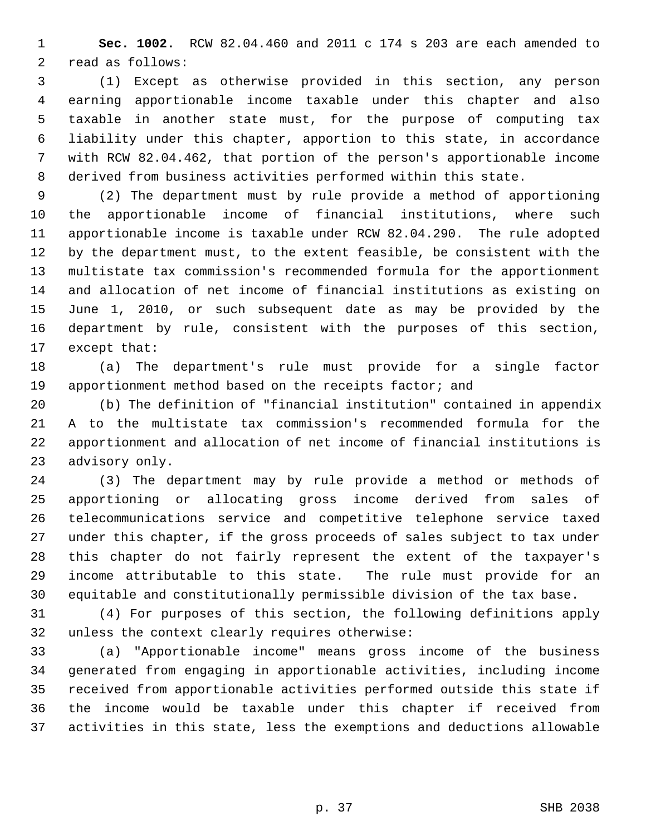1 **Sec. 1002.** RCW 82.04.460 and 2011 c 174 s 203 are each amended to 2 read as follows:

 3 (1) Except as otherwise provided in this section, any person 4 earning apportionable income taxable under this chapter and also 5 taxable in another state must, for the purpose of computing tax 6 liability under this chapter, apportion to this state, in accordance 7 with RCW 82.04.462, that portion of the person's apportionable income 8 derived from business activities performed within this state.

 9 (2) The department must by rule provide a method of apportioning 10 the apportionable income of financial institutions, where such 11 apportionable income is taxable under RCW 82.04.290. The rule adopted 12 by the department must, to the extent feasible, be consistent with the 13 multistate tax commission's recommended formula for the apportionment 14 and allocation of net income of financial institutions as existing on 15 June 1, 2010, or such subsequent date as may be provided by the 16 department by rule, consistent with the purposes of this section, 17 except that:

18 (a) The department's rule must provide for a single factor 19 apportionment method based on the receipts factor; and

20 (b) The definition of "financial institution" contained in appendix 21 A to the multistate tax commission's recommended formula for the 22 apportionment and allocation of net income of financial institutions is 23 advisory only.

24 (3) The department may by rule provide a method or methods of 25 apportioning or allocating gross income derived from sales of 26 telecommunications service and competitive telephone service taxed 27 under this chapter, if the gross proceeds of sales subject to tax under 28 this chapter do not fairly represent the extent of the taxpayer's 29 income attributable to this state. The rule must provide for an 30 equitable and constitutionally permissible division of the tax base.

31 (4) For purposes of this section, the following definitions apply 32 unless the context clearly requires otherwise:

33 (a) "Apportionable income" means gross income of the business 34 generated from engaging in apportionable activities, including income 35 received from apportionable activities performed outside this state if 36 the income would be taxable under this chapter if received from 37 activities in this state, less the exemptions and deductions allowable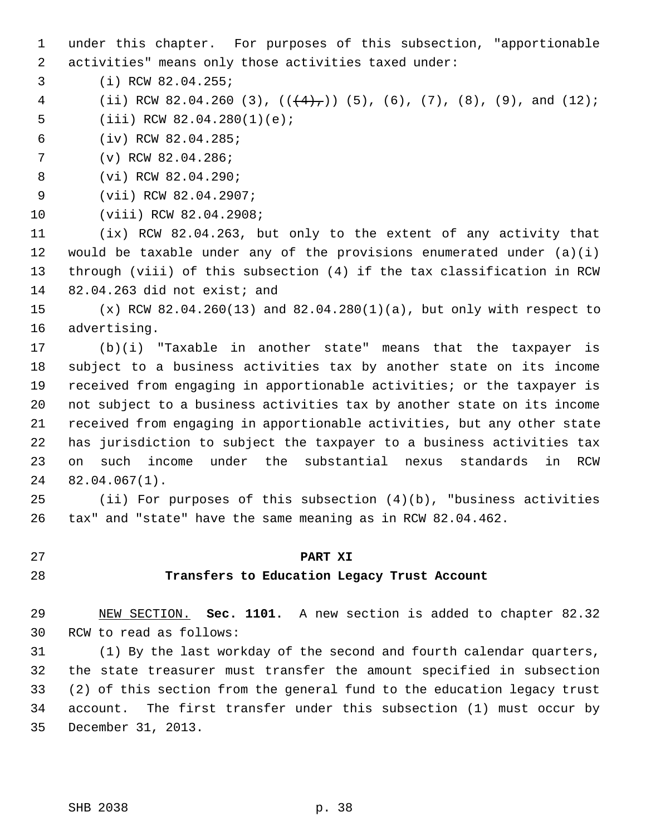1 under this chapter. For purposes of this subsection, "apportionable 2 activities" means only those activities taxed under:

3 (i) RCW 82.04.255;

4 (ii) RCW 82.04.260 (3),  $((\frac{4}{7})^2)$  (5), (6), (7), (8), (9), and (12);

5 (iii) RCW 82.04.280(1)(e);

- 6 (iv) RCW 82.04.285;
- 7 (v) RCW 82.04.286;

8 (vi) RCW 82.04.290;

9 (vii) RCW 82.04.2907;

10 (viii) RCW 82.04.2908;

11 (ix) RCW 82.04.263, but only to the extent of any activity that 12 would be taxable under any of the provisions enumerated under  $(a)(i)$ 13 through (viii) of this subsection (4) if the tax classification in RCW 14 82.04.263 did not exist; and

15 (x) RCW 82.04.260(13) and 82.04.280(1)(a), but only with respect to 16 advertising.

17 (b)(i) "Taxable in another state" means that the taxpayer is 18 subject to a business activities tax by another state on its income 19 received from engaging in apportionable activities; or the taxpayer is 20 not subject to a business activities tax by another state on its income 21 received from engaging in apportionable activities, but any other state 22 has jurisdiction to subject the taxpayer to a business activities tax 23 on such income under the substantial nexus standards in RCW 24 82.04.067(1).

25 (ii) For purposes of this subsection (4)(b), "business activities 26 tax" and "state" have the same meaning as in RCW 82.04.462.

#### 27 **PART XI**

## 28 **Transfers to Education Legacy Trust Account**

29 NEW SECTION. **Sec. 1101.** A new section is added to chapter 82.32 30 RCW to read as follows:

31 (1) By the last workday of the second and fourth calendar quarters, 32 the state treasurer must transfer the amount specified in subsection 33 (2) of this section from the general fund to the education legacy trust 34 account. The first transfer under this subsection (1) must occur by 35 December 31, 2013.